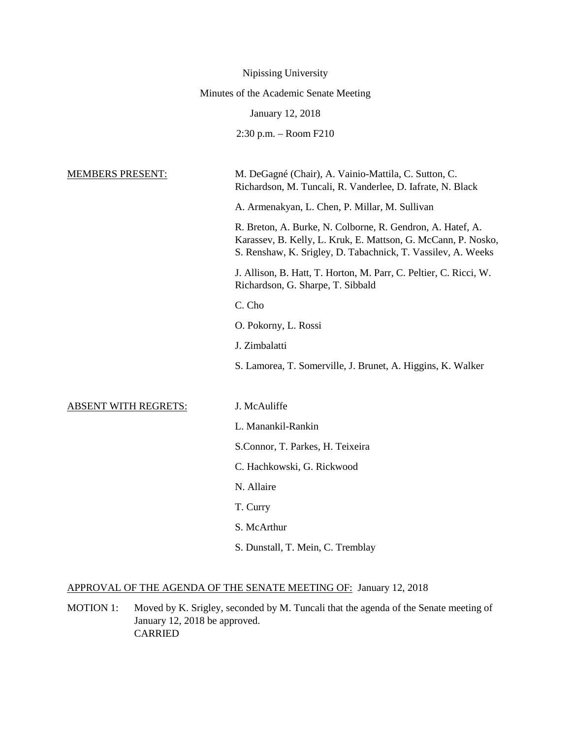|                             | Nipissing University                                                                                                                                                                        |
|-----------------------------|---------------------------------------------------------------------------------------------------------------------------------------------------------------------------------------------|
|                             | Minutes of the Academic Senate Meeting                                                                                                                                                      |
|                             | January 12, 2018                                                                                                                                                                            |
|                             | 2:30 p.m. - Room F210                                                                                                                                                                       |
|                             |                                                                                                                                                                                             |
| <b>MEMBERS PRESENT:</b>     | M. DeGagné (Chair), A. Vainio-Mattila, C. Sutton, C.<br>Richardson, M. Tuncali, R. Vanderlee, D. Iafrate, N. Black                                                                          |
|                             | A. Armenakyan, L. Chen, P. Millar, M. Sullivan                                                                                                                                              |
|                             | R. Breton, A. Burke, N. Colborne, R. Gendron, A. Hatef, A.<br>Karassev, B. Kelly, L. Kruk, E. Mattson, G. McCann, P. Nosko,<br>S. Renshaw, K. Srigley, D. Tabachnick, T. Vassilev, A. Weeks |
|                             | J. Allison, B. Hatt, T. Horton, M. Parr, C. Peltier, C. Ricci, W.<br>Richardson, G. Sharpe, T. Sibbald                                                                                      |
|                             | C. Cho                                                                                                                                                                                      |
|                             | O. Pokorny, L. Rossi                                                                                                                                                                        |
|                             | J. Zimbalatti                                                                                                                                                                               |
|                             | S. Lamorea, T. Somerville, J. Brunet, A. Higgins, K. Walker                                                                                                                                 |
| <b>ABSENT WITH REGRETS:</b> | J. McAuliffe                                                                                                                                                                                |
|                             | L. Manankil-Rankin                                                                                                                                                                          |
|                             | S.Connor, T. Parkes, H. Teixeira                                                                                                                                                            |
|                             | C. Hachkowski, G. Rickwood                                                                                                                                                                  |
|                             | N. Allaire                                                                                                                                                                                  |
|                             | T. Curry                                                                                                                                                                                    |
|                             | S. McArthur                                                                                                                                                                                 |
|                             | S. Dunstall, T. Mein, C. Tremblay                                                                                                                                                           |

## APPROVAL OF THE AGENDA OF THE SENATE MEETING OF: January 12, 2018

MOTION 1: Moved by K. Srigley, seconded by M. Tuncali that the agenda of the Senate meeting of January 12, 2018 be approved. CARRIED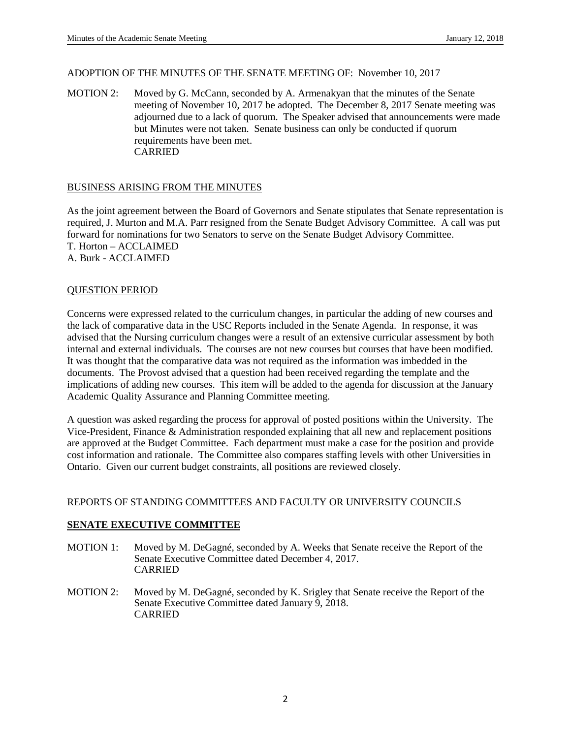### ADOPTION OF THE MINUTES OF THE SENATE MEETING OF: November 10, 2017

MOTION 2: Moved by G. McCann, seconded by A. Armenakyan that the minutes of the Senate meeting of November 10, 2017 be adopted. The December 8, 2017 Senate meeting was adjourned due to a lack of quorum. The Speaker advised that announcements were made but Minutes were not taken. Senate business can only be conducted if quorum requirements have been met. CARRIED

## BUSINESS ARISING FROM THE MINUTES

As the joint agreement between the Board of Governors and Senate stipulates that Senate representation is required, J. Murton and M.A. Parr resigned from the Senate Budget Advisory Committee. A call was put forward for nominations for two Senators to serve on the Senate Budget Advisory Committee. T. Horton – ACCLAIMED A. Burk - ACCLAIMED

#### QUESTION PERIOD

Concerns were expressed related to the curriculum changes, in particular the adding of new courses and the lack of comparative data in the USC Reports included in the Senate Agenda. In response, it was advised that the Nursing curriculum changes were a result of an extensive curricular assessment by both internal and external individuals. The courses are not new courses but courses that have been modified. It was thought that the comparative data was not required as the information was imbedded in the documents. The Provost advised that a question had been received regarding the template and the implications of adding new courses. This item will be added to the agenda for discussion at the January Academic Quality Assurance and Planning Committee meeting.

A question was asked regarding the process for approval of posted positions within the University. The Vice-President, Finance & Administration responded explaining that all new and replacement positions are approved at the Budget Committee. Each department must make a case for the position and provide cost information and rationale. The Committee also compares staffing levels with other Universities in Ontario. Given our current budget constraints, all positions are reviewed closely.

#### REPORTS OF STANDING COMMITTEES AND FACULTY OR UNIVERSITY COUNCILS

#### **SENATE EXECUTIVE COMMITTEE**

- MOTION 1: Moved by M. DeGagné, seconded by A. Weeks that Senate receive the Report of the Senate Executive Committee dated December 4, 2017. CARRIED
- MOTION 2: Moved by M. DeGagné, seconded by K. Srigley that Senate receive the Report of the Senate Executive Committee dated January 9, 2018. CARRIED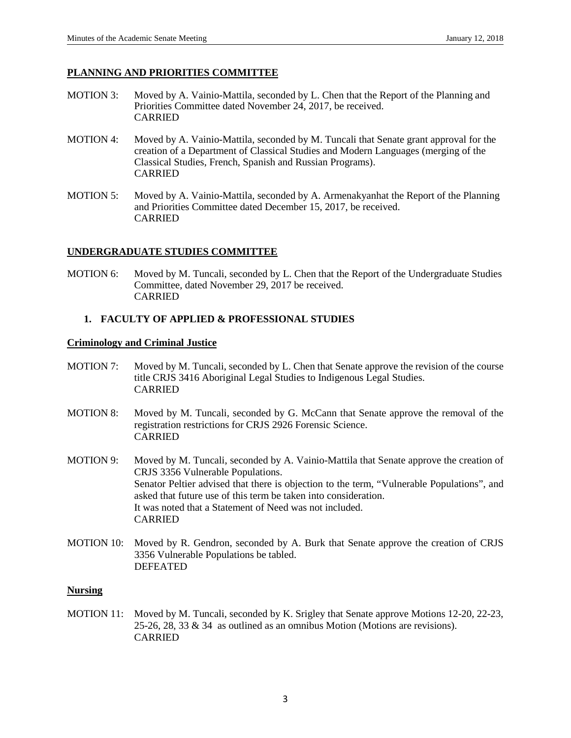## **PLANNING AND PRIORITIES COMMITTEE**

- MOTION 3: Moved by A. Vainio-Mattila, seconded by L. Chen that the Report of the Planning and Priorities Committee dated November 24, 2017, be received. CARRIED
- MOTION 4: Moved by A. Vainio-Mattila, seconded by M. Tuncali that Senate grant approval for the creation of a Department of Classical Studies and Modern Languages (merging of the Classical Studies, French, Spanish and Russian Programs). CARRIED
- MOTION 5: Moved by A. Vainio-Mattila, seconded by A. Armenakyanhat the Report of the Planning and Priorities Committee dated December 15, 2017, be received. CARRIED

#### **UNDERGRADUATE STUDIES COMMITTEE**

MOTION 6: Moved by M. Tuncali, seconded by L. Chen that the Report of the Undergraduate Studies Committee, dated November 29, 2017 be received. CARRIED

## **1. FACULTY OF APPLIED & PROFESSIONAL STUDIES**

#### **Criminology and Criminal Justice**

- MOTION 7: Moved by M. Tuncali, seconded by L. Chen that Senate approve the revision of the course title CRJS 3416 Aboriginal Legal Studies to Indigenous Legal Studies. CARRIED
- MOTION 8: Moved by M. Tuncali, seconded by G. McCann that Senate approve the removal of the registration restrictions for CRJS 2926 Forensic Science. CARRIED
- MOTION 9: Moved by M. Tuncali, seconded by A. Vainio-Mattila that Senate approve the creation of CRJS 3356 Vulnerable Populations. Senator Peltier advised that there is objection to the term, "Vulnerable Populations", and asked that future use of this term be taken into consideration. It was noted that a Statement of Need was not included. CARRIED
- MOTION 10: Moved by R. Gendron, seconded by A. Burk that Senate approve the creation of CRJS 3356 Vulnerable Populations be tabled. DEFEATED

#### **Nursing**

MOTION 11: Moved by M. Tuncali, seconded by K. Srigley that Senate approve Motions 12-20, 22-23, 25-26, 28, 33 & 34 as outlined as an omnibus Motion (Motions are revisions). CARRIED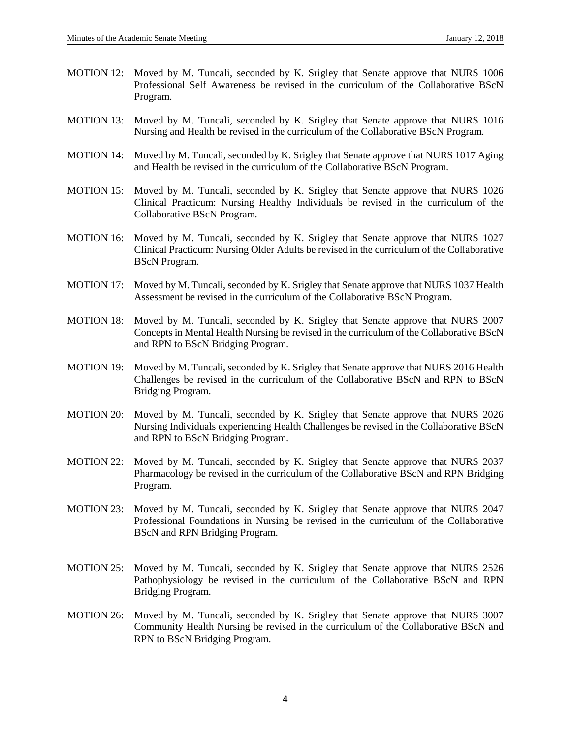- MOTION 12: Moved by M. Tuncali, seconded by K. Srigley that Senate approve that NURS 1006 Professional Self Awareness be revised in the curriculum of the Collaborative BScN Program.
- MOTION 13: Moved by M. Tuncali, seconded by K. Srigley that Senate approve that NURS 1016 Nursing and Health be revised in the curriculum of the Collaborative BScN Program.
- MOTION 14: Moved by M. Tuncali, seconded by K. Srigley that Senate approve that NURS 1017 Aging and Health be revised in the curriculum of the Collaborative BScN Program.
- MOTION 15: Moved by M. Tuncali, seconded by K. Srigley that Senate approve that NURS 1026 Clinical Practicum: Nursing Healthy Individuals be revised in the curriculum of the Collaborative BScN Program.
- MOTION 16: Moved by M. Tuncali, seconded by K. Srigley that Senate approve that NURS 1027 Clinical Practicum: Nursing Older Adults be revised in the curriculum of the Collaborative BScN Program.
- MOTION 17: Moved by M. Tuncali, seconded by K. Srigley that Senate approve that NURS 1037 Health Assessment be revised in the curriculum of the Collaborative BScN Program.
- MOTION 18: Moved by M. Tuncali, seconded by K. Srigley that Senate approve that NURS 2007 Concepts in Mental Health Nursing be revised in the curriculum of the Collaborative BScN and RPN to BScN Bridging Program.
- MOTION 19: Moved by M. Tuncali, seconded by K. Srigley that Senate approve that NURS 2016 Health Challenges be revised in the curriculum of the Collaborative BScN and RPN to BScN Bridging Program.
- MOTION 20: Moved by M. Tuncali, seconded by K. Srigley that Senate approve that NURS 2026 Nursing Individuals experiencing Health Challenges be revised in the Collaborative BScN and RPN to BScN Bridging Program.
- MOTION 22: Moved by M. Tuncali, seconded by K. Srigley that Senate approve that NURS 2037 Pharmacology be revised in the curriculum of the Collaborative BScN and RPN Bridging Program.
- MOTION 23: Moved by M. Tuncali, seconded by K. Srigley that Senate approve that NURS 2047 Professional Foundations in Nursing be revised in the curriculum of the Collaborative BScN and RPN Bridging Program.
- MOTION 25: Moved by M. Tuncali, seconded by K. Srigley that Senate approve that NURS 2526 Pathophysiology be revised in the curriculum of the Collaborative BScN and RPN Bridging Program.
- MOTION 26: Moved by M. Tuncali, seconded by K. Srigley that Senate approve that NURS 3007 Community Health Nursing be revised in the curriculum of the Collaborative BScN and RPN to BScN Bridging Program.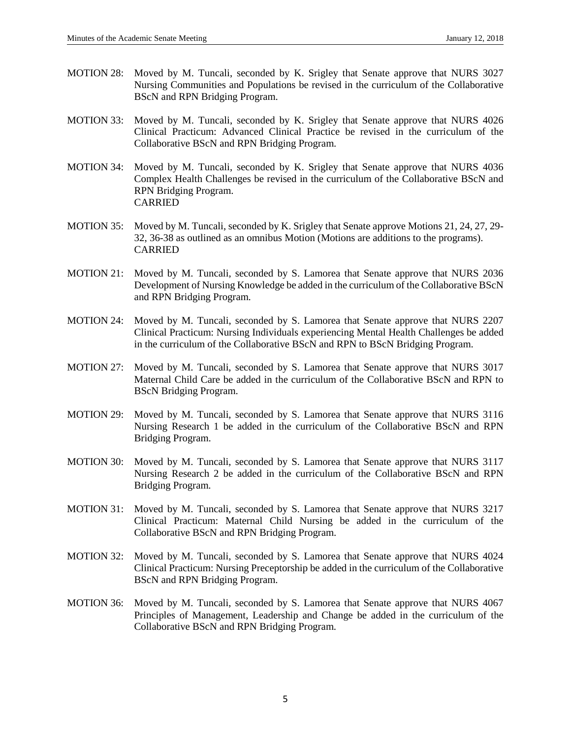- MOTION 28: Moved by M. Tuncali, seconded by K. Srigley that Senate approve that NURS 3027 Nursing Communities and Populations be revised in the curriculum of the Collaborative BScN and RPN Bridging Program.
- MOTION 33: Moved by M. Tuncali, seconded by K. Srigley that Senate approve that NURS 4026 Clinical Practicum: Advanced Clinical Practice be revised in the curriculum of the Collaborative BScN and RPN Bridging Program.
- MOTION 34: Moved by M. Tuncali, seconded by K. Srigley that Senate approve that NURS 4036 Complex Health Challenges be revised in the curriculum of the Collaborative BScN and RPN Bridging Program. CARRIED
- MOTION 35: Moved by M. Tuncali, seconded by K. Srigley that Senate approve Motions 21, 24, 27, 29- 32, 36-38 as outlined as an omnibus Motion (Motions are additions to the programs). CARRIED
- MOTION 21: Moved by M. Tuncali, seconded by S. Lamorea that Senate approve that NURS 2036 Development of Nursing Knowledge be added in the curriculum of the Collaborative BScN and RPN Bridging Program.
- MOTION 24: Moved by M. Tuncali, seconded by S. Lamorea that Senate approve that NURS 2207 Clinical Practicum: Nursing Individuals experiencing Mental Health Challenges be added in the curriculum of the Collaborative BScN and RPN to BScN Bridging Program.
- MOTION 27: Moved by M. Tuncali, seconded by S. Lamorea that Senate approve that NURS 3017 Maternal Child Care be added in the curriculum of the Collaborative BScN and RPN to BScN Bridging Program.
- MOTION 29: Moved by M. Tuncali, seconded by S. Lamorea that Senate approve that NURS 3116 Nursing Research 1 be added in the curriculum of the Collaborative BScN and RPN Bridging Program.
- MOTION 30: Moved by M. Tuncali, seconded by S. Lamorea that Senate approve that NURS 3117 Nursing Research 2 be added in the curriculum of the Collaborative BScN and RPN Bridging Program.
- MOTION 31: Moved by M. Tuncali, seconded by S. Lamorea that Senate approve that NURS 3217 Clinical Practicum: Maternal Child Nursing be added in the curriculum of the Collaborative BScN and RPN Bridging Program.
- MOTION 32: Moved by M. Tuncali, seconded by S. Lamorea that Senate approve that NURS 4024 Clinical Practicum: Nursing Preceptorship be added in the curriculum of the Collaborative BScN and RPN Bridging Program.
- MOTION 36: Moved by M. Tuncali, seconded by S. Lamorea that Senate approve that NURS 4067 Principles of Management, Leadership and Change be added in the curriculum of the Collaborative BScN and RPN Bridging Program.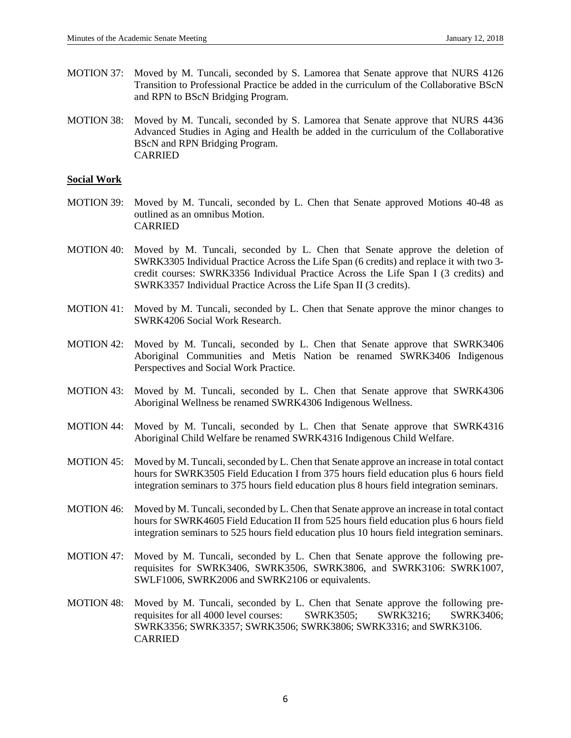- MOTION 37: Moved by M. Tuncali, seconded by S. Lamorea that Senate approve that NURS 4126 Transition to Professional Practice be added in the curriculum of the Collaborative BScN and RPN to BScN Bridging Program.
- MOTION 38: Moved by M. Tuncali, seconded by S. Lamorea that Senate approve that NURS 4436 Advanced Studies in Aging and Health be added in the curriculum of the Collaborative BScN and RPN Bridging Program. CARRIED

#### **Social Work**

- MOTION 39: Moved by M. Tuncali, seconded by L. Chen that Senate approved Motions 40-48 as outlined as an omnibus Motion. CARRIED
- MOTION 40: Moved by M. Tuncali, seconded by L. Chen that Senate approve the deletion of SWRK3305 Individual Practice Across the Life Span (6 credits) and replace it with two 3 credit courses: SWRK3356 Individual Practice Across the Life Span I (3 credits) and SWRK3357 Individual Practice Across the Life Span II (3 credits).
- MOTION 41: Moved by M. Tuncali, seconded by L. Chen that Senate approve the minor changes to SWRK4206 Social Work Research.
- MOTION 42: Moved by M. Tuncali, seconded by L. Chen that Senate approve that SWRK3406 Aboriginal Communities and Metis Nation be renamed SWRK3406 Indigenous Perspectives and Social Work Practice.
- MOTION 43: Moved by M. Tuncali, seconded by L. Chen that Senate approve that SWRK4306 Aboriginal Wellness be renamed SWRK4306 Indigenous Wellness.
- MOTION 44: Moved by M. Tuncali, seconded by L. Chen that Senate approve that SWRK4316 Aboriginal Child Welfare be renamed SWRK4316 Indigenous Child Welfare.
- MOTION 45: Moved by M. Tuncali, seconded by L. Chen that Senate approve an increase in total contact hours for SWRK3505 Field Education I from 375 hours field education plus 6 hours field integration seminars to 375 hours field education plus 8 hours field integration seminars.
- MOTION 46: Moved by M. Tuncali, seconded by L. Chen that Senate approve an increase in total contact hours for SWRK4605 Field Education II from 525 hours field education plus 6 hours field integration seminars to 525 hours field education plus 10 hours field integration seminars.
- MOTION 47: Moved by M. Tuncali, seconded by L. Chen that Senate approve the following prerequisites for SWRK3406, SWRK3506, SWRK3806, and SWRK3106: SWRK1007, SWLF1006, SWRK2006 and SWRK2106 or equivalents.
- MOTION 48: Moved by M. Tuncali, seconded by L. Chen that Senate approve the following prerequisites for all 4000 level courses: SWRK3505; SWRK3216; SWRK3406; SWRK3356; SWRK3357; SWRK3506; SWRK3806; SWRK3316; and SWRK3106. CARRIED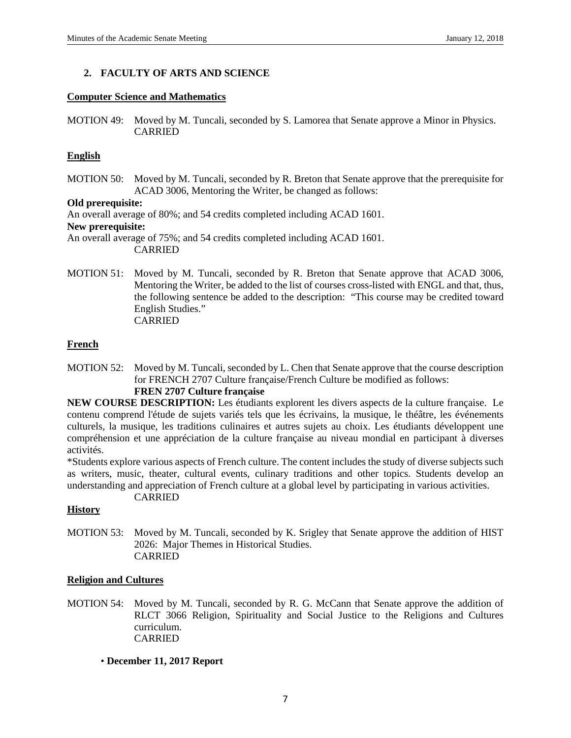## **2. FACULTY OF ARTS AND SCIENCE**

#### **Computer Science and Mathematics**

MOTION 49: Moved by M. Tuncali, seconded by S. Lamorea that Senate approve a Minor in Physics. CARRIED

## **English**

MOTION 50: Moved by M. Tuncali, seconded by R. Breton that Senate approve that the prerequisite for ACAD 3006, Mentoring the Writer, be changed as follows:

#### **Old prerequisite:**

An overall average of 80%; and 54 credits completed including ACAD 1601. **New prerequisite:** 

An overall average of 75%; and 54 credits completed including ACAD 1601. CARRIED

MOTION 51: Moved by M. Tuncali, seconded by R. Breton that Senate approve that ACAD 3006, Mentoring the Writer, be added to the list of courses cross-listed with ENGL and that, thus, the following sentence be added to the description: "This course may be credited toward English Studies." CARRIED

## **French**

MOTION 52: Moved by M. Tuncali, seconded by L. Chen that Senate approve that the course description for FRENCH 2707 Culture française/French Culture be modified as follows:

## **FREN 2707 Culture française**

**NEW COURSE DESCRIPTION:** Les étudiants explorent les divers aspects de la culture française. Le contenu comprend l'étude de sujets variés tels que les écrivains, la musique, le théâtre, les événements culturels, la musique, les traditions culinaires et autres sujets au choix. Les étudiants développent une compréhension et une appréciation de la culture française au niveau mondial en participant à diverses activités.

\*Students explore various aspects of French culture. The content includes the study of diverse subjects such as writers, music, theater, cultural events, culinary traditions and other topics. Students develop an understanding and appreciation of French culture at a global level by participating in various activities.

CARRIED

## **History**

MOTION 53: Moved by M. Tuncali, seconded by K. Srigley that Senate approve the addition of HIST 2026: Major Themes in Historical Studies. CARRIED

#### **Religion and Cultures**

- MOTION 54: Moved by M. Tuncali, seconded by R. G. McCann that Senate approve the addition of RLCT 3066 Religion, Spirituality and Social Justice to the Religions and Cultures curriculum. CARRIED
	- **December 11, 2017 Report**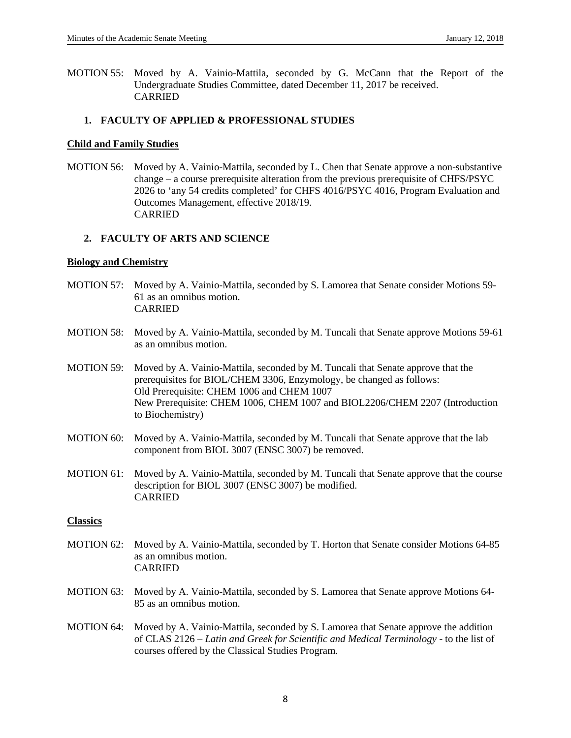MOTION 55: Moved by A. Vainio-Mattila, seconded by G. McCann that the Report of the Undergraduate Studies Committee, dated December 11, 2017 be received. CARRIED

## **1. FACULTY OF APPLIED & PROFESSIONAL STUDIES**

#### **Child and Family Studies**

MOTION 56: Moved by A. Vainio-Mattila, seconded by L. Chen that Senate approve a non-substantive change – a course prerequisite alteration from the previous prerequisite of CHFS/PSYC 2026 to 'any 54 credits completed' for CHFS 4016/PSYC 4016, Program Evaluation and Outcomes Management, effective 2018/19. CARRIED

## **2. FACULTY OF ARTS AND SCIENCE**

#### **Biology and Chemistry**

- MOTION 57: Moved by A. Vainio-Mattila, seconded by S. Lamorea that Senate consider Motions 59- 61 as an omnibus motion. CARRIED
- MOTION 58: Moved by A. Vainio-Mattila, seconded by M. Tuncali that Senate approve Motions 59-61 as an omnibus motion.
- MOTION 59: Moved by A. Vainio-Mattila, seconded by M. Tuncali that Senate approve that the prerequisites for BIOL/CHEM 3306, Enzymology, be changed as follows: Old Prerequisite: CHEM 1006 and CHEM 1007 New Prerequisite: CHEM 1006, CHEM 1007 and BIOL2206/CHEM 2207 (Introduction to Biochemistry)
- MOTION 60: Moved by A. Vainio-Mattila, seconded by M. Tuncali that Senate approve that the lab component from BIOL 3007 (ENSC 3007) be removed.
- MOTION 61: Moved by A. Vainio-Mattila, seconded by M. Tuncali that Senate approve that the course description for BIOL 3007 (ENSC 3007) be modified. CARRIED

#### **Classics**

- MOTION 62: Moved by A. Vainio-Mattila, seconded by T. Horton that Senate consider Motions 64-85 as an omnibus motion. CARRIED
- MOTION 63: Moved by A. Vainio-Mattila, seconded by S. Lamorea that Senate approve Motions 64- 85 as an omnibus motion.
- MOTION 64: Moved by A. Vainio-Mattila, seconded by S. Lamorea that Senate approve the addition of CLAS 2126 – *Latin and Greek for Scientific and Medical Terminology* - to the list of courses offered by the Classical Studies Program.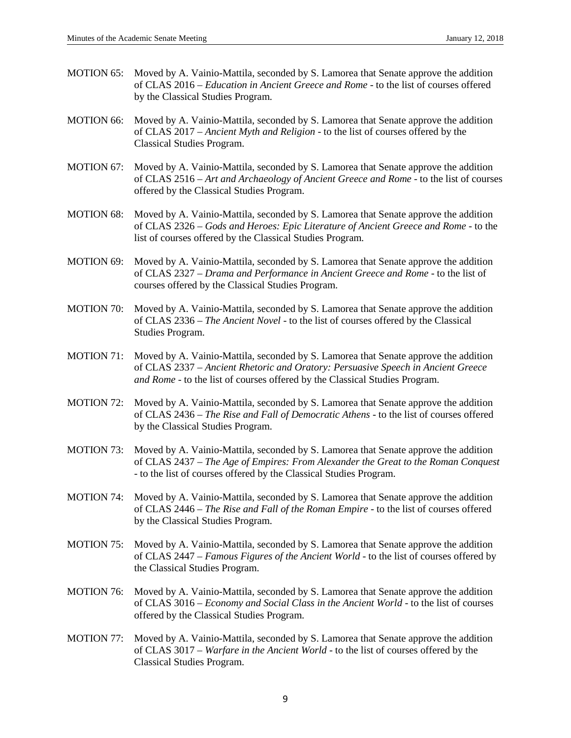- MOTION 65: Moved by A. Vainio-Mattila, seconded by S. Lamorea that Senate approve the addition of CLAS 2016 – *Education in Ancient Greece and Rome* - to the list of courses offered by the Classical Studies Program.
- MOTION 66: Moved by A. Vainio-Mattila, seconded by S. Lamorea that Senate approve the addition of CLAS 2017 – *Ancient Myth and Religion* - to the list of courses offered by the Classical Studies Program.
- MOTION 67: Moved by A. Vainio-Mattila, seconded by S. Lamorea that Senate approve the addition of CLAS 2516 – *Art and Archaeology of Ancient Greece and Rome* - to the list of courses offered by the Classical Studies Program.
- MOTION 68: Moved by A. Vainio-Mattila, seconded by S. Lamorea that Senate approve the addition of CLAS 2326 – *Gods and Heroes: Epic Literature of Ancient Greece and Rome* - to the list of courses offered by the Classical Studies Program.
- MOTION 69: Moved by A. Vainio-Mattila, seconded by S. Lamorea that Senate approve the addition of CLAS 2327 – *Drama and Performance in Ancient Greece and Rome* - to the list of courses offered by the Classical Studies Program.
- MOTION 70: Moved by A. Vainio-Mattila, seconded by S. Lamorea that Senate approve the addition of CLAS 2336 – *The Ancient Novel* - to the list of courses offered by the Classical Studies Program.
- MOTION 71: Moved by A. Vainio-Mattila, seconded by S. Lamorea that Senate approve the addition of CLAS 2337 – *Ancient Rhetoric and Oratory: Persuasive Speech in Ancient Greece and Rome* - to the list of courses offered by the Classical Studies Program.
- MOTION 72: Moved by A. Vainio-Mattila, seconded by S. Lamorea that Senate approve the addition of CLAS 2436 – *The Rise and Fall of Democratic Athens* - to the list of courses offered by the Classical Studies Program.
- MOTION 73: Moved by A. Vainio-Mattila, seconded by S. Lamorea that Senate approve the addition of CLAS 2437 – *The Age of Empires: From Alexander the Great to the Roman Conquest* - to the list of courses offered by the Classical Studies Program.
- MOTION 74: Moved by A. Vainio-Mattila, seconded by S. Lamorea that Senate approve the addition of CLAS 2446 – *The Rise and Fall of the Roman Empire* - to the list of courses offered by the Classical Studies Program.
- MOTION 75: Moved by A. Vainio-Mattila, seconded by S. Lamorea that Senate approve the addition of CLAS 2447 – *Famous Figures of the Ancient World* - to the list of courses offered by the Classical Studies Program.
- MOTION 76: Moved by A. Vainio-Mattila, seconded by S. Lamorea that Senate approve the addition of CLAS 3016 – *Economy and Social Class in the Ancient World* - to the list of courses offered by the Classical Studies Program.
- MOTION 77: Moved by A. Vainio-Mattila, seconded by S. Lamorea that Senate approve the addition of CLAS 3017 – *Warfare in the Ancient World* - to the list of courses offered by the Classical Studies Program.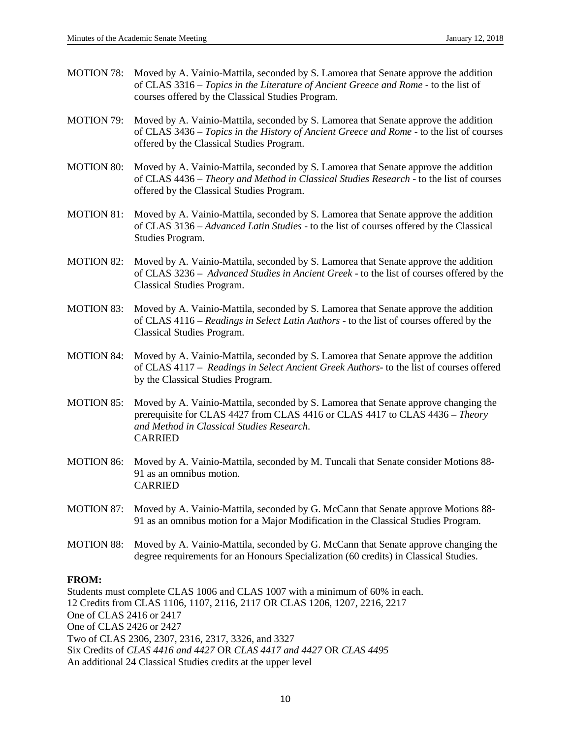- MOTION 78: Moved by A. Vainio-Mattila, seconded by S. Lamorea that Senate approve the addition of CLAS 3316 – *Topics in the Literature of Ancient Greece and Rome* - to the list of courses offered by the Classical Studies Program.
- MOTION 79: Moved by A. Vainio-Mattila, seconded by S. Lamorea that Senate approve the addition of CLAS 3436 – *Topics in the History of Ancient Greece and Rome* - to the list of courses offered by the Classical Studies Program.
- MOTION 80: Moved by A. Vainio-Mattila, seconded by S. Lamorea that Senate approve the addition of CLAS 4436 – *Theory and Method in Classical Studies Research* - to the list of courses offered by the Classical Studies Program.
- MOTION 81: Moved by A. Vainio-Mattila, seconded by S. Lamorea that Senate approve the addition of CLAS 3136 – *Advanced Latin Studies* - to the list of courses offered by the Classical Studies Program.
- MOTION 82: Moved by A. Vainio-Mattila, seconded by S. Lamorea that Senate approve the addition of CLAS 3236 – *Advanced Studies in Ancient Greek* - to the list of courses offered by the Classical Studies Program.
- MOTION 83: Moved by A. Vainio-Mattila, seconded by S. Lamorea that Senate approve the addition of CLAS 4116 – *Readings in Select Latin Authors* - to the list of courses offered by the Classical Studies Program.
- MOTION 84: Moved by A. Vainio-Mattila, seconded by S. Lamorea that Senate approve the addition of CLAS 4117 – *Readings in Select Ancient Greek Authors*- to the list of courses offered by the Classical Studies Program.
- MOTION 85: Moved by A. Vainio-Mattila, seconded by S. Lamorea that Senate approve changing the prerequisite for CLAS 4427 from CLAS 4416 or CLAS 4417 to CLAS 4436 – *Theory and Method in Classical Studies Research*. CARRIED
- MOTION 86: Moved by A. Vainio-Mattila, seconded by M. Tuncali that Senate consider Motions 88- 91 as an omnibus motion. CARRIED
- MOTION 87: Moved by A. Vainio-Mattila, seconded by G. McCann that Senate approve Motions 88- 91 as an omnibus motion for a Major Modification in the Classical Studies Program.
- MOTION 88: Moved by A. Vainio-Mattila, seconded by G. McCann that Senate approve changing the degree requirements for an Honours Specialization (60 credits) in Classical Studies.

## **FROM:**

Students must complete CLAS 1006 and CLAS 1007 with a minimum of 60% in each. 12 Credits from CLAS 1106, 1107, 2116, 2117 OR CLAS 1206, 1207, 2216, 2217 One of CLAS 2416 or 2417 One of CLAS 2426 or 2427 Two of CLAS 2306, 2307, 2316, 2317, 3326, and 3327 Six Credits of *CLAS 4416 and 4427* OR *CLAS 4417 and 4427* OR *CLAS 4495* An additional 24 Classical Studies credits at the upper level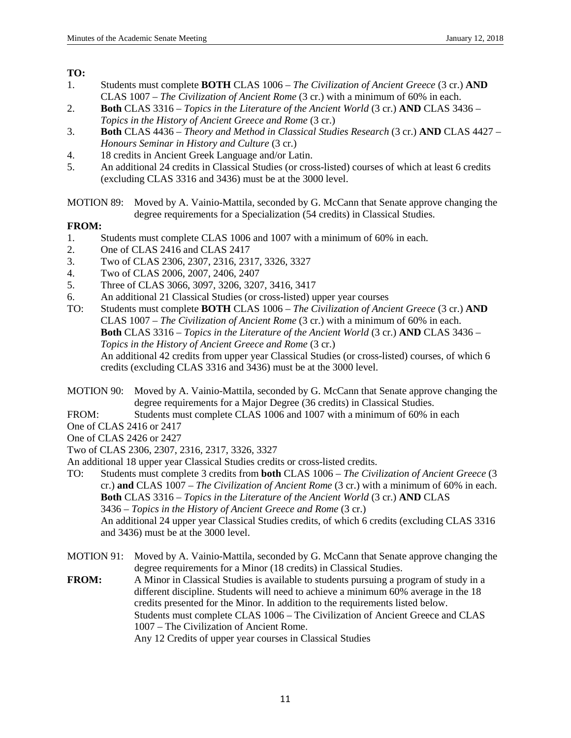**TO:**

- 1. Students must complete **BOTH** CLAS 1006 *The Civilization of Ancient Greece* (3 cr.) **AND** CLAS 1007 – *The Civilization of Ancient Rome* (3 cr.) with a minimum of 60% in each.
- 2. **Both** CLAS 3316 *Topics in the Literature of the Ancient World* (3 cr.) **AND** CLAS 3436 *Topics in the History of Ancient Greece and Rome* (3 cr.)
- 3. **Both** CLAS 4436 *Theory and Method in Classical Studies Research* (3 cr.) **AND** CLAS 4427 *Honours Seminar in History and Culture* (3 cr.)
- 4. 18 credits in Ancient Greek Language and/or Latin.
- 5. An additional 24 credits in Classical Studies (or cross-listed) courses of which at least 6 credits (excluding CLAS 3316 and 3436) must be at the 3000 level.

MOTION 89: Moved by A. Vainio-Mattila, seconded by G. McCann that Senate approve changing the degree requirements for a Specialization (54 credits) in Classical Studies.

# **FROM:**<br>1.

- Students must complete CLAS 1006 and 1007 with a minimum of 60% in each.
- 2. One of CLAS 2416 and CLAS 2417
- 3. Two of CLAS 2306, 2307, 2316, 2317, 3326, 3327
- 4. Two of CLAS 2006, 2007, 2406, 2407
- 5. Three of CLAS 3066, 3097, 3206, 3207, 3416, 3417
- 6. An additional 21 Classical Studies (or cross-listed) upper year courses TO: Students must complete **BOTH** CLAS 1006 The Civilization of Anci
- Students must complete **BOTH** CLAS 1006 *The Civilization of Ancient Greece* (3 cr.) **AND** CLAS 1007 – *The Civilization of Ancient Rome* (3 cr.) with a minimum of 60% in each. **Both** CLAS 3316 – *Topics in the Literature of the Ancient World* (3 cr.) **AND** CLAS 3436 – *Topics in the History of Ancient Greece and Rome* (3 cr.) An additional 42 credits from upper year Classical Studies (or cross-listed) courses, of which 6 credits (excluding CLAS 3316 and 3436) must be at the 3000 level.
- MOTION 90: Moved by A. Vainio-Mattila, seconded by G. McCann that Senate approve changing the degree requirements for a Major Degree (36 credits) in Classical Studies.
- FROM: Students must complete CLAS 1006 and 1007 with a minimum of 60% in each

One of CLAS 2416 or 2417

One of CLAS 2426 or 2427

Two of CLAS 2306, 2307, 2316, 2317, 3326, 3327

An additional 18 upper year Classical Studies credits or cross-listed credits.

TO: Students must complete 3 credits from **both** CLAS 1006 – *The Civilization of Ancient Greece* (3 cr.) **and** CLAS 1007 – *The Civilization of Ancient Rome* (3 cr.) with a minimum of 60% in each. **Both** CLAS 3316 – *Topics in the Literature of the Ancient World* (3 cr.) **AND** CLAS 3436 – *Topics in the History of Ancient Greece and Rome* (3 cr.) An additional 24 upper year Classical Studies credits, of which 6 credits (excluding CLAS 3316 and 3436) must be at the 3000 level.

MOTION 91: Moved by A. Vainio-Mattila, seconded by G. McCann that Senate approve changing the degree requirements for a Minor (18 credits) in Classical Studies.

**FROM:** A Minor in Classical Studies is available to students pursuing a program of study in a different discipline. Students will need to achieve a minimum 60% average in the 18 credits presented for the Minor. In addition to the requirements listed below. Students must complete CLAS 1006 – The Civilization of Ancient Greece and CLAS 1007 – The Civilization of Ancient Rome. Any 12 Credits of upper year courses in Classical Studies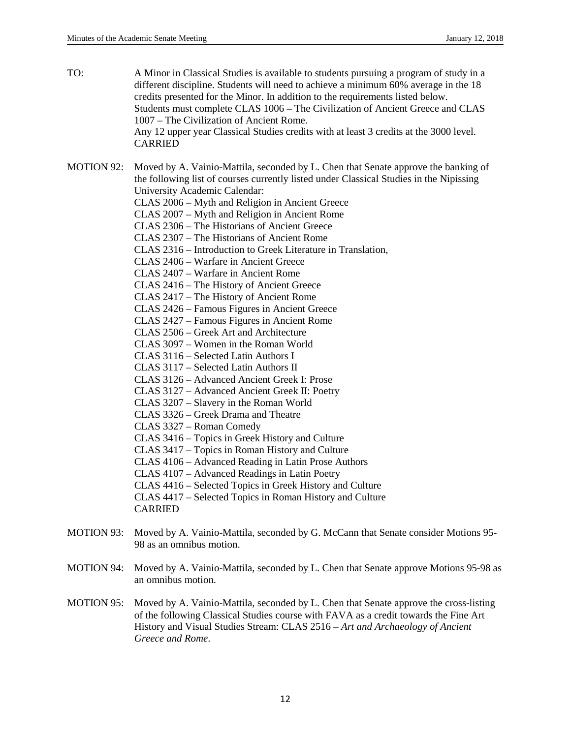TO: A Minor in Classical Studies is available to students pursuing a program of study in a different discipline. Students will need to achieve a minimum 60% average in the 18 credits presented for the Minor. In addition to the requirements listed below. Students must complete CLAS 1006 – The Civilization of Ancient Greece and CLAS 1007 – The Civilization of Ancient Rome. Any 12 upper year Classical Studies credits with at least 3 credits at the 3000 level. CARRIED MOTION 92: Moved by A. Vainio-Mattila, seconded by L. Chen that Senate approve the banking of the following list of courses currently listed under Classical Studies in the Nipissing University Academic Calendar: CLAS 2006 – Myth and Religion in Ancient Greece CLAS 2007 – Myth and Religion in Ancient Rome CLAS 2306 – The Historians of Ancient Greece CLAS 2307 – The Historians of Ancient Rome CLAS 2316 – Introduction to Greek Literature in Translation, CLAS 2406 – Warfare in Ancient Greece CLAS 2407 – Warfare in Ancient Rome CLAS 2416 – The History of Ancient Greece CLAS 2417 – The History of Ancient Rome CLAS 2426 – Famous Figures in Ancient Greece CLAS 2427 – Famous Figures in Ancient Rome

- CLAS 2506 Greek Art and Architecture
- CLAS 3097 Women in the Roman World
- CLAS 3116 Selected Latin Authors I
- CLAS 3117 Selected Latin Authors II
- CLAS 3126 Advanced Ancient Greek I: Prose
- CLAS 3127 Advanced Ancient Greek II: Poetry
- CLAS 3207 Slavery in the Roman World
- CLAS 3326 Greek Drama and Theatre
- CLAS 3327 Roman Comedy
- CLAS 3416 Topics in Greek History and Culture
- CLAS 3417 Topics in Roman History and Culture
- CLAS 4106 Advanced Reading in Latin Prose Authors
- CLAS 4107 Advanced Readings in Latin Poetry
- CLAS 4416 Selected Topics in Greek History and Culture

CLAS 4417 – Selected Topics in Roman History and Culture

CARRIED

- MOTION 93: Moved by A. Vainio-Mattila, seconded by G. McCann that Senate consider Motions 95- 98 as an omnibus motion.
- MOTION 94: Moved by A. Vainio-Mattila, seconded by L. Chen that Senate approve Motions 95-98 as an omnibus motion.
- MOTION 95: Moved by A. Vainio-Mattila, seconded by L. Chen that Senate approve the cross-listing of the following Classical Studies course with FAVA as a credit towards the Fine Art History and Visual Studies Stream: CLAS 2516 *– Art and Archaeology of Ancient Greece and Rome*.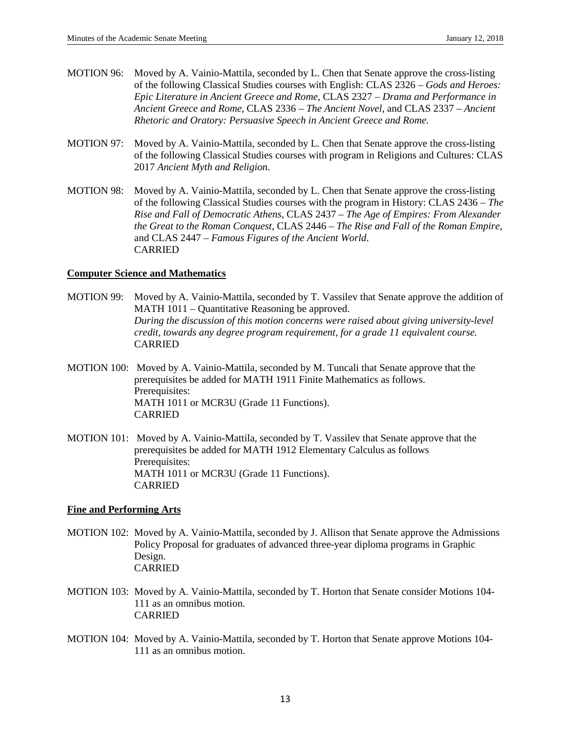- MOTION 96: Moved by A. Vainio-Mattila, seconded by L. Chen that Senate approve the cross-listing of the following Classical Studies courses with English: CLAS 2326 – *Gods and Heroes: Epic Literature in Ancient Greece and Rome*, CLAS 2327 – *Drama and Performance in Ancient Greece and Rome*, CLAS 2336 – *The Ancient Novel*, and CLAS 2337 – *Ancient Rhetoric and Oratory: Persuasive Speech in Ancient Greece and Rome*.
- MOTION 97: Moved by A. Vainio-Mattila, seconded by L. Chen that Senate approve the cross-listing of the following Classical Studies courses with program in Religions and Cultures: CLAS 2017 *Ancient Myth and Religion*.
- MOTION 98: Moved by A. Vainio-Mattila, seconded by L. Chen that Senate approve the cross-listing of the following Classical Studies courses with the program in History: CLAS 2436 – *The Rise and Fall of Democratic Athens*, CLAS 2437 – *The Age of Empires: From Alexander the Great to the Roman Conquest*, CLAS 2446 – *The Rise and Fall of the Roman Empire*, and CLAS 2447 – *Famous Figures of the Ancient World*. CARRIED

## **Computer Science and Mathematics**

- MOTION 99: Moved by A. Vainio-Mattila, seconded by T. Vassilev that Senate approve the addition of MATH 1011 – Quantitative Reasoning be approved. *During the discussion of this motion concerns were raised about giving university-level credit, towards any degree program requirement, for a grade 11 equivalent course.* CARRIED
- MOTION 100: Moved by A. Vainio-Mattila, seconded by M. Tuncali that Senate approve that the prerequisites be added for MATH 1911 Finite Mathematics as follows. Prerequisites: MATH 1011 or MCR3U (Grade 11 Functions). CARRIED
- MOTION 101: Moved by A. Vainio-Mattila, seconded by T. Vassilev that Senate approve that the prerequisites be added for MATH 1912 Elementary Calculus as follows Prerequisites: MATH 1011 or MCR3U (Grade 11 Functions). CARRIED

#### **Fine and Performing Arts**

- MOTION 102: Moved by A. Vainio-Mattila, seconded by J. Allison that Senate approve the Admissions Policy Proposal for graduates of advanced three-year diploma programs in Graphic Design. CARRIED
- MOTION 103: Moved by A. Vainio-Mattila, seconded by T. Horton that Senate consider Motions 104- 111 as an omnibus motion. CARRIED
- MOTION 104: Moved by A. Vainio-Mattila, seconded by T. Horton that Senate approve Motions 104- 111 as an omnibus motion.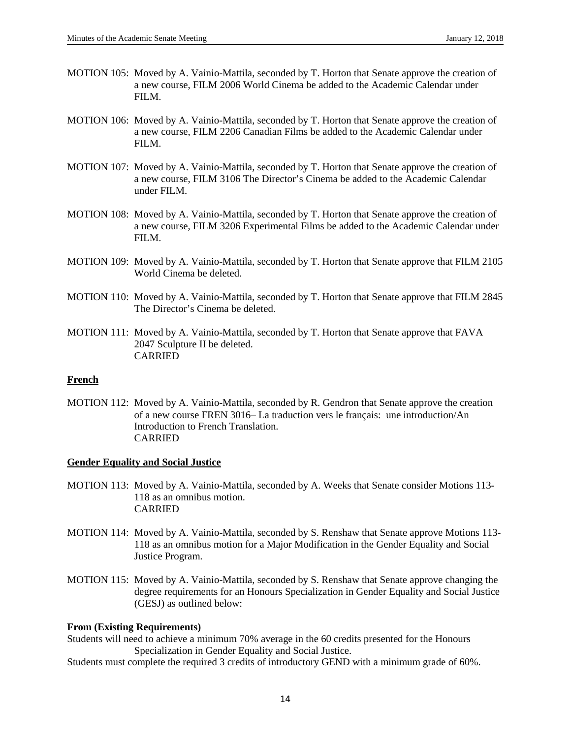- MOTION 105: Moved by A. Vainio-Mattila, seconded by T. Horton that Senate approve the creation of a new course, FILM 2006 World Cinema be added to the Academic Calendar under FILM.
- MOTION 106: Moved by A. Vainio-Mattila, seconded by T. Horton that Senate approve the creation of a new course, FILM 2206 Canadian Films be added to the Academic Calendar under FILM.
- MOTION 107: Moved by A. Vainio-Mattila, seconded by T. Horton that Senate approve the creation of a new course, FILM 3106 The Director's Cinema be added to the Academic Calendar under FILM.
- MOTION 108: Moved by A. Vainio-Mattila, seconded by T. Horton that Senate approve the creation of a new course, FILM 3206 Experimental Films be added to the Academic Calendar under FILM.
- MOTION 109: Moved by A. Vainio-Mattila, seconded by T. Horton that Senate approve that FILM 2105 World Cinema be deleted.
- MOTION 110: Moved by A. Vainio-Mattila, seconded by T. Horton that Senate approve that FILM 2845 The Director's Cinema be deleted.
- MOTION 111: Moved by A. Vainio-Mattila, seconded by T. Horton that Senate approve that FAVA 2047 Sculpture II be deleted. CARRIED

#### **French**

MOTION 112: Moved by A. Vainio-Mattila, seconded by R. Gendron that Senate approve the creation of a new course FREN 3016– La traduction vers le français: une introduction/An Introduction to French Translation. CARRIED

#### **Gender Equality and Social Justice**

- MOTION 113: Moved by A. Vainio-Mattila, seconded by A. Weeks that Senate consider Motions 113- 118 as an omnibus motion. CARRIED
- MOTION 114: Moved by A. Vainio-Mattila, seconded by S. Renshaw that Senate approve Motions 113- 118 as an omnibus motion for a Major Modification in the Gender Equality and Social Justice Program.
- MOTION 115: Moved by A. Vainio-Mattila, seconded by S. Renshaw that Senate approve changing the degree requirements for an Honours Specialization in Gender Equality and Social Justice (GESJ) as outlined below:

#### **From (Existing Requirements)**

Students will need to achieve a minimum 70% average in the 60 credits presented for the Honours Specialization in Gender Equality and Social Justice.

Students must complete the required 3 credits of introductory GEND with a minimum grade of 60%.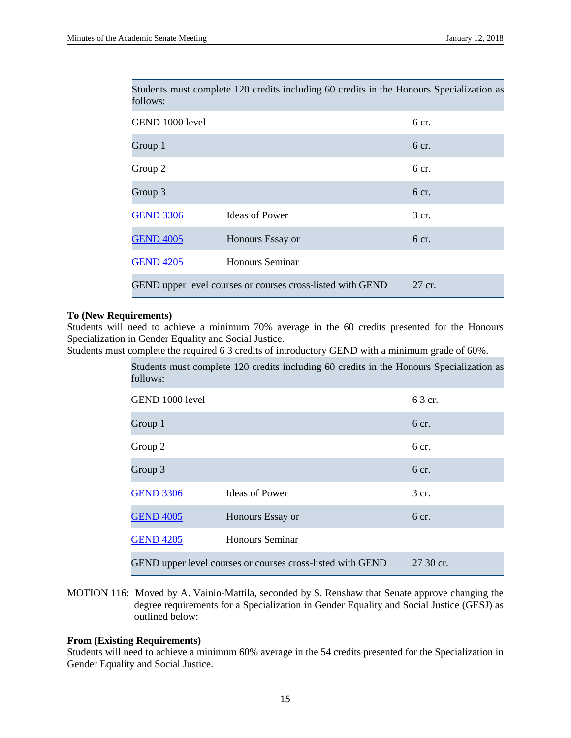| follows:                                                   |                        |        |
|------------------------------------------------------------|------------------------|--------|
| GEND 1000 level                                            |                        | 6 cr.  |
| Group 1                                                    |                        | 6 cr.  |
| Group 2                                                    |                        | 6 cr.  |
| Group 3                                                    |                        | 6 cr.  |
| <b>GEND 3306</b>                                           | <b>Ideas of Power</b>  | 3 cr.  |
| <b>GEND 4005</b>                                           | Honours Essay or       | 6 cr.  |
| <b>GEND 4205</b>                                           | <b>Honours Seminar</b> |        |
| GEND upper level courses or courses cross-listed with GEND |                        | 27 cr. |

Students must complete 120 credits including 60 credits in the Honours Specialization as

#### **To (New Requirements)**

Students will need to achieve a minimum 70% average in the 60 credits presented for the Honours Specialization in Gender Equality and Social Justice.

Students must complete the required 6 3 credits of introductory GEND with a minimum grade of 60%.

| Students must complete 120 credits including 60 credits in the Honours Specialization as<br>follows: |                                                            |                  |
|------------------------------------------------------------------------------------------------------|------------------------------------------------------------|------------------|
| GEND 1000 level                                                                                      |                                                            | 6 3 cr.          |
| Group 1                                                                                              |                                                            | 6 cr.            |
| Group 2                                                                                              |                                                            | 6 <sub>cr.</sub> |
| Group 3                                                                                              |                                                            | 6 <sub>cr.</sub> |
| <b>GEND 3306</b>                                                                                     | <b>Ideas of Power</b>                                      | 3 cr.            |
| <b>GEND 4005</b>                                                                                     | Honours Essay or                                           | 6 cr.            |
| <b>GEND 4205</b>                                                                                     | Honours Seminar                                            |                  |
|                                                                                                      | GEND upper level courses or courses cross-listed with GEND | 27 30 cr.        |

MOTION 116: Moved by A. Vainio-Mattila, seconded by S. Renshaw that Senate approve changing the degree requirements for a Specialization in Gender Equality and Social Justice (GESJ) as outlined below:

## **From (Existing Requirements)**

Students will need to achieve a minimum 60% average in the 54 credits presented for the Specialization in Gender Equality and Social Justice.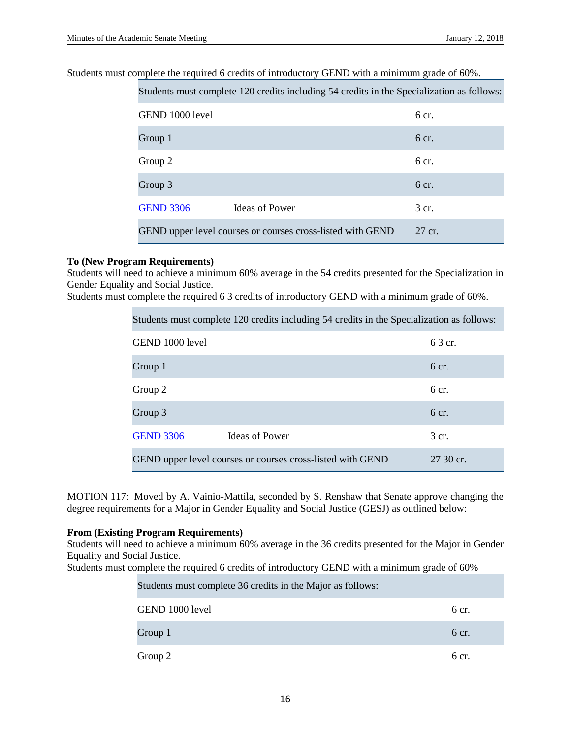Students must complete the required 6 credits of introductory GEND with a minimum grade of 60%.

Students must complete 120 credits including 54 credits in the Specialization as follows:

| GEND 1000 level                                            |                       | 6 cr.  |
|------------------------------------------------------------|-----------------------|--------|
| Group 1                                                    |                       | 6 cr.  |
| Group 2                                                    |                       | 6 cr.  |
| Group 3                                                    |                       | 6 cr.  |
| <b>GEND 3306</b>                                           | <b>Ideas of Power</b> | 3 cr.  |
| GEND upper level courses or courses cross-listed with GEND |                       | 27 cr. |

## **To (New Program Requirements)**

Students will need to achieve a minimum 60% average in the 54 credits presented for the Specialization in Gender Equality and Social Justice.

Students must complete the required 6 3 credits of introductory GEND with a minimum grade of 60%.

| Students must complete 120 credits including 54 credits in the Specialization as follows: |                       |                  |
|-------------------------------------------------------------------------------------------|-----------------------|------------------|
| GEND 1000 level                                                                           |                       | 6 3 cr.          |
| Group 1                                                                                   |                       | 6 <sub>cr.</sub> |
| Group 2                                                                                   |                       | 6 <sub>cr.</sub> |
| Group 3                                                                                   |                       | 6 <sub>cr.</sub> |
| <b>GEND 3306</b>                                                                          | <b>Ideas of Power</b> | 3 cr.            |
| GEND upper level courses or courses cross-listed with GEND                                |                       | 27 30 cr.        |

MOTION 117: Moved by A. Vainio-Mattila, seconded by S. Renshaw that Senate approve changing the degree requirements for a Major in Gender Equality and Social Justice (GESJ) as outlined below:

#### **From (Existing Program Requirements)**

Students will need to achieve a minimum 60% average in the 36 credits presented for the Major in Gender Equality and Social Justice.

Students must complete the required 6 credits of introductory GEND with a minimum grade of 60%

| Students must complete 36 credits in the Major as follows: |       |
|------------------------------------------------------------|-------|
| GEND 1000 level                                            | 6 cr. |
| Group 1                                                    | 6 cr. |
| Group 2                                                    | 6 cr. |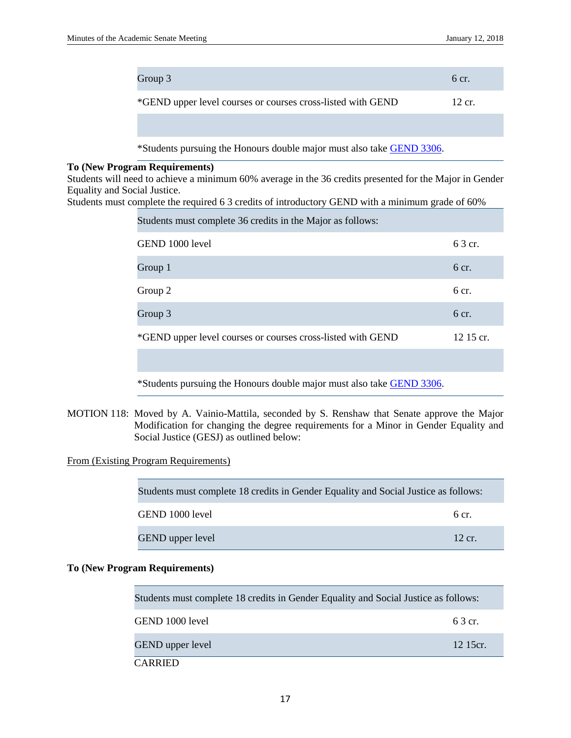|                                                                                                                                                                                                                                                                                     | Group 3                                                                      | 6 <sub>cr.</sub> |
|-------------------------------------------------------------------------------------------------------------------------------------------------------------------------------------------------------------------------------------------------------------------------------------|------------------------------------------------------------------------------|------------------|
|                                                                                                                                                                                                                                                                                     | *GEND upper level courses or courses cross-listed with GEND                  | 12 cr.           |
|                                                                                                                                                                                                                                                                                     |                                                                              |                  |
|                                                                                                                                                                                                                                                                                     | *Students pursuing the Honours double major must also take <b>GEND</b> 3306. |                  |
| <b>To (New Program Requirements)</b><br>Students will need to achieve a minimum 60% average in the 36 credits presented for the Major in Gender<br>Equality and Social Justice.<br>Students must complete the required 6.3 credits of introductory GEND with a minimum grade of 60% |                                                                              |                  |
|                                                                                                                                                                                                                                                                                     | Students must complete 36 credits in the Major as follows:                   |                  |
|                                                                                                                                                                                                                                                                                     | GEND 1000 level                                                              | 6 3 cr.          |
|                                                                                                                                                                                                                                                                                     | Group 1                                                                      | 6 cr.            |
|                                                                                                                                                                                                                                                                                     | Group 2                                                                      | 6 <sub>cr.</sub> |
|                                                                                                                                                                                                                                                                                     | Group 3                                                                      | 6 <sub>cr.</sub> |
|                                                                                                                                                                                                                                                                                     | *GEND upper level courses or courses cross-listed with GEND                  | $12.15$ cr.      |
|                                                                                                                                                                                                                                                                                     |                                                                              |                  |

\*Students pursuing the Honours double major must also take [GEND 3306.](http://academiccalendar.nipissingu.ca/catalog/viewcatalog.aspx?pageid=viewcatalog&topicgroupid=1571&entitytype=cid&entitycode=gend+3306)

MOTION 118: Moved by A. Vainio-Mattila, seconded by S. Renshaw that Senate approve the Major Modification for changing the degree requirements for a Minor in Gender Equality and Social Justice (GESJ) as outlined below:

From (Existing Program Requirements)

| Students must complete 18 credits in Gender Equality and Social Justice as follows: |                   |
|-------------------------------------------------------------------------------------|-------------------|
| GEND 1000 level                                                                     | 6 cr.             |
| <b>GEND</b> upper level                                                             | $12 \text{ cr}$ . |

## **To (New Program Requirements)**

| Students must complete 18 credits in Gender Equality and Social Justice as follows: |          |
|-------------------------------------------------------------------------------------|----------|
| GEND 1000 level                                                                     | 6 3 cr.  |
| <b>GEND</b> upper level                                                             | 12 15cr. |
| CARRIED                                                                             |          |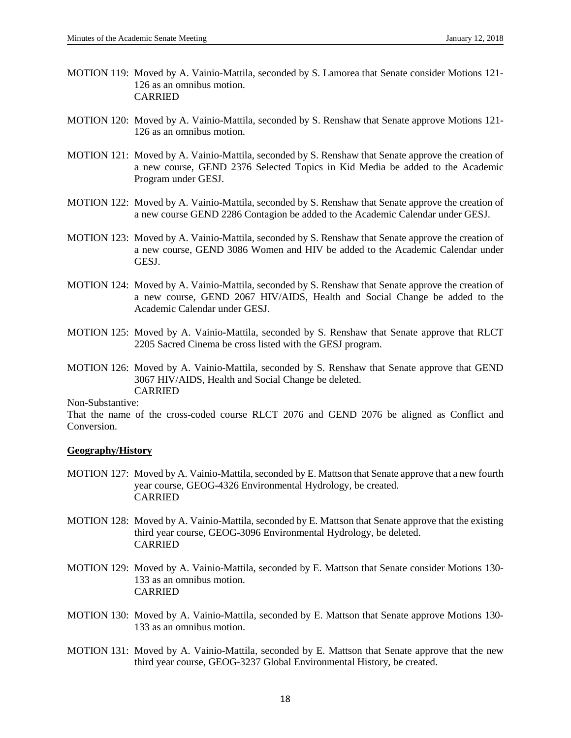- MOTION 119: Moved by A. Vainio-Mattila, seconded by S. Lamorea that Senate consider Motions 121- 126 as an omnibus motion. CARRIED
- MOTION 120: Moved by A. Vainio-Mattila, seconded by S. Renshaw that Senate approve Motions 121- 126 as an omnibus motion.
- MOTION 121: Moved by A. Vainio-Mattila, seconded by S. Renshaw that Senate approve the creation of a new course, GEND 2376 Selected Topics in Kid Media be added to the Academic Program under GESJ.
- MOTION 122: Moved by A. Vainio-Mattila, seconded by S. Renshaw that Senate approve the creation of a new course GEND 2286 Contagion be added to the Academic Calendar under GESJ.
- MOTION 123: Moved by A. Vainio-Mattila, seconded by S. Renshaw that Senate approve the creation of a new course, GEND 3086 Women and HIV be added to the Academic Calendar under GESJ.
- MOTION 124: Moved by A. Vainio-Mattila, seconded by S. Renshaw that Senate approve the creation of a new course, GEND 2067 HIV/AIDS, Health and Social Change be added to the Academic Calendar under GESJ.
- MOTION 125: Moved by A. Vainio-Mattila, seconded by S. Renshaw that Senate approve that RLCT 2205 Sacred Cinema be cross listed with the GESJ program.
- MOTION 126: Moved by A. Vainio-Mattila, seconded by S. Renshaw that Senate approve that GEND 3067 HIV/AIDS, Health and Social Change be deleted. CARRIED

Non-Substantive:

That the name of the cross-coded course RLCT 2076 and GEND 2076 be aligned as Conflict and Conversion.

#### **Geography/History**

- MOTION 127: Moved by A. Vainio-Mattila, seconded by E. Mattson that Senate approve that a new fourth year course, GEOG-4326 Environmental Hydrology, be created. CARRIED
- MOTION 128: Moved by A. Vainio-Mattila, seconded by E. Mattson that Senate approve that the existing third year course, GEOG-3096 Environmental Hydrology, be deleted. CARRIED
- MOTION 129: Moved by A. Vainio-Mattila, seconded by E. Mattson that Senate consider Motions 130- 133 as an omnibus motion. CARRIED
- MOTION 130: Moved by A. Vainio-Mattila, seconded by E. Mattson that Senate approve Motions 130- 133 as an omnibus motion.
- MOTION 131: Moved by A. Vainio-Mattila, seconded by E. Mattson that Senate approve that the new third year course, GEOG-3237 Global Environmental History, be created.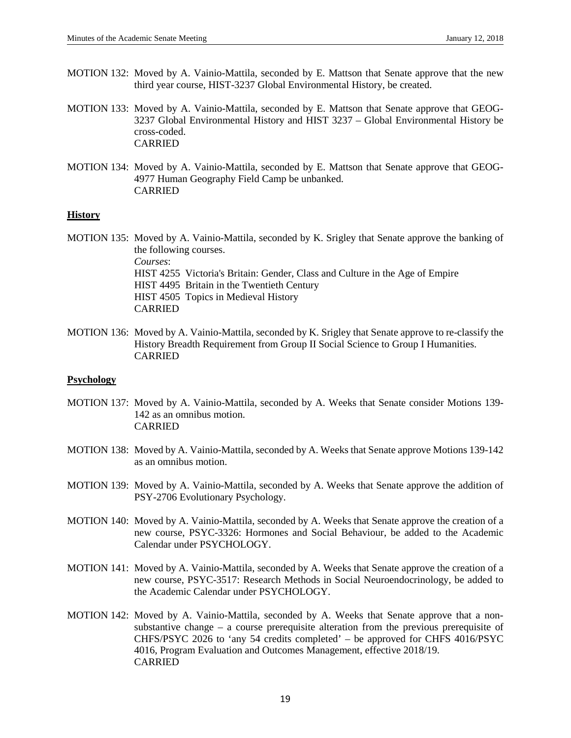- MOTION 132: Moved by A. Vainio-Mattila, seconded by E. Mattson that Senate approve that the new third year course, HIST-3237 Global Environmental History, be created.
- MOTION 133: Moved by A. Vainio-Mattila, seconded by E. Mattson that Senate approve that GEOG-3237 Global Environmental History and HIST 3237 – Global Environmental History be cross-coded. CARRIED
- MOTION 134: Moved by A. Vainio-Mattila, seconded by E. Mattson that Senate approve that GEOG-4977 Human Geography Field Camp be unbanked. CARRIED

## **History**

MOTION 135: Moved by A. Vainio-Mattila, seconded by K. Srigley that Senate approve the banking of the following courses. *Courses*: HIST 4255 Victoria's Britain: Gender, Class and Culture in the Age of Empire HIST 4495 Britain in the Twentieth Century HIST 4505 Topics in Medieval History CARRIED

MOTION 136: Moved by A. Vainio-Mattila, seconded by K. Srigley that Senate approve to re-classify the History Breadth Requirement from Group II Social Science to Group I Humanities. CARRIED

#### **Psychology**

- MOTION 137: Moved by A. Vainio-Mattila, seconded by A. Weeks that Senate consider Motions 139- 142 as an omnibus motion. CARRIED
- MOTION 138: Moved by A. Vainio-Mattila, seconded by A. Weeks that Senate approve Motions 139-142 as an omnibus motion.
- MOTION 139: Moved by A. Vainio-Mattila, seconded by A. Weeks that Senate approve the addition of PSY-2706 Evolutionary Psychology.
- MOTION 140: Moved by A. Vainio-Mattila, seconded by A. Weeks that Senate approve the creation of a new course, PSYC-3326: Hormones and Social Behaviour, be added to the Academic Calendar under PSYCHOLOGY.
- MOTION 141: Moved by A. Vainio-Mattila, seconded by A. Weeks that Senate approve the creation of a new course, PSYC-3517: Research Methods in Social Neuroendocrinology, be added to the Academic Calendar under PSYCHOLOGY.
- MOTION 142: Moved by A. Vainio-Mattila, seconded by A. Weeks that Senate approve that a nonsubstantive change – a course prerequisite alteration from the previous prerequisite of CHFS/PSYC 2026 to 'any 54 credits completed' – be approved for CHFS 4016/PSYC 4016, Program Evaluation and Outcomes Management, effective 2018/19. CARRIED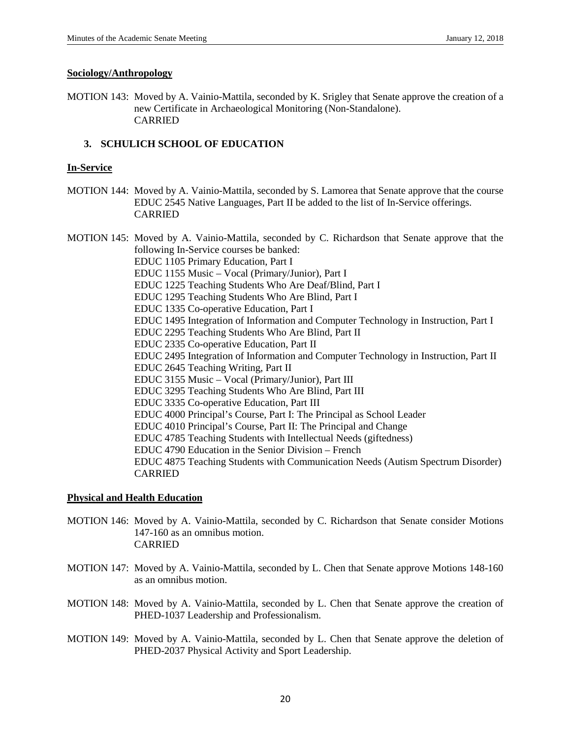#### **Sociology/Anthropology**

MOTION 143: Moved by A. Vainio-Mattila, seconded by K. Srigley that Senate approve the creation of a new Certificate in Archaeological Monitoring (Non-Standalone). CARRIED

## **3. SCHULICH SCHOOL OF EDUCATION**

## **In-Service**

MOTION 144: Moved by A. Vainio-Mattila, seconded by S. Lamorea that Senate approve that the course EDUC 2545 Native Languages, Part II be added to the list of In-Service offerings. CARRIED

MOTION 145: Moved by A. Vainio-Mattila, seconded by C. Richardson that Senate approve that the following In-Service courses be banked: EDUC 1105 Primary Education, Part I EDUC 1155 Music – Vocal (Primary/Junior), Part I EDUC 1225 Teaching Students Who Are Deaf/Blind, Part I EDUC 1295 Teaching Students Who Are Blind, Part I EDUC 1335 Co-operative Education, Part I EDUC 1495 Integration of Information and Computer Technology in Instruction, Part I EDUC 2295 Teaching Students Who Are Blind, Part II EDUC 2335 Co-operative Education, Part II EDUC 2495 Integration of Information and Computer Technology in Instruction, Part II EDUC 2645 Teaching Writing, Part II EDUC 3155 Music – Vocal (Primary/Junior), Part III EDUC 3295 Teaching Students Who Are Blind, Part III EDUC 3335 Co-operative Education, Part III EDUC 4000 Principal's Course, Part I: The Principal as School Leader EDUC 4010 Principal's Course, Part II: The Principal and Change EDUC 4785 Teaching Students with Intellectual Needs (giftedness) EDUC 4790 Education in the Senior Division – French EDUC 4875 Teaching Students with Communication Needs (Autism Spectrum Disorder) CARRIED

## **Physical and Health Education**

- MOTION 146: Moved by A. Vainio-Mattila, seconded by C. Richardson that Senate consider Motions 147-160 as an omnibus motion. CARRIED
- MOTION 147: Moved by A. Vainio-Mattila, seconded by L. Chen that Senate approve Motions 148-160 as an omnibus motion.
- MOTION 148: Moved by A. Vainio-Mattila, seconded by L. Chen that Senate approve the creation of PHED-1037 Leadership and Professionalism.
- MOTION 149: Moved by A. Vainio-Mattila, seconded by L. Chen that Senate approve the deletion of PHED-2037 Physical Activity and Sport Leadership.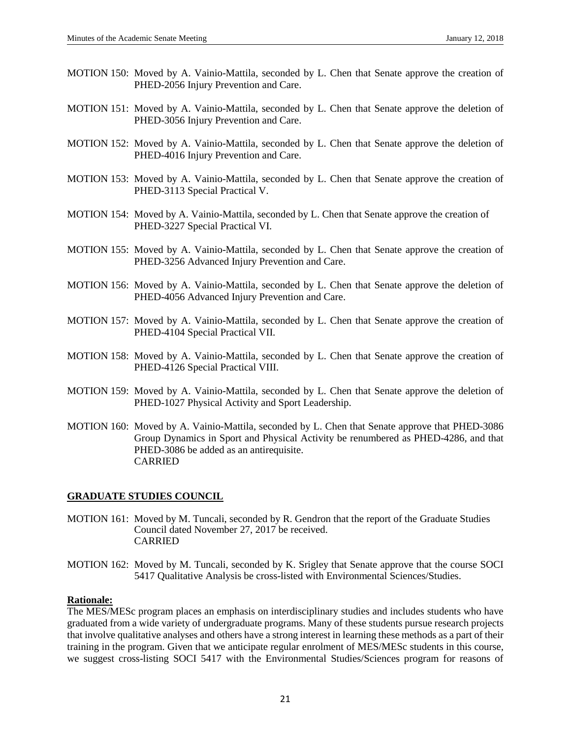- MOTION 150: Moved by A. Vainio-Mattila, seconded by L. Chen that Senate approve the creation of PHED-2056 Injury Prevention and Care.
- MOTION 151: Moved by A. Vainio-Mattila, seconded by L. Chen that Senate approve the deletion of PHED-3056 Injury Prevention and Care.
- MOTION 152: Moved by A. Vainio-Mattila, seconded by L. Chen that Senate approve the deletion of PHED-4016 Injury Prevention and Care.
- MOTION 153: Moved by A. Vainio-Mattila, seconded by L. Chen that Senate approve the creation of PHED-3113 Special Practical V.
- MOTION 154: Moved by A. Vainio-Mattila, seconded by L. Chen that Senate approve the creation of PHED-3227 Special Practical VI.
- MOTION 155: Moved by A. Vainio-Mattila, seconded by L. Chen that Senate approve the creation of PHED-3256 Advanced Injury Prevention and Care.
- MOTION 156: Moved by A. Vainio-Mattila, seconded by L. Chen that Senate approve the deletion of PHED-4056 Advanced Injury Prevention and Care.
- MOTION 157: Moved by A. Vainio-Mattila, seconded by L. Chen that Senate approve the creation of PHED-4104 Special Practical VII.
- MOTION 158: Moved by A. Vainio-Mattila, seconded by L. Chen that Senate approve the creation of PHED-4126 Special Practical VIII.
- MOTION 159: Moved by A. Vainio-Mattila, seconded by L. Chen that Senate approve the deletion of PHED-1027 Physical Activity and Sport Leadership.
- MOTION 160: Moved by A. Vainio-Mattila, seconded by L. Chen that Senate approve that PHED-3086 Group Dynamics in Sport and Physical Activity be renumbered as PHED-4286, and that PHED-3086 be added as an antirequisite. CARRIED

#### **GRADUATE STUDIES COUNCIL**

- MOTION 161: Moved by M. Tuncali, seconded by R. Gendron that the report of the Graduate Studies Council dated November 27, 2017 be received. CARRIED
- MOTION 162: Moved by M. Tuncali, seconded by K. Srigley that Senate approve that the course SOCI 5417 Qualitative Analysis be cross-listed with Environmental Sciences/Studies.

## **Rationale:**

The MES/MESc program places an emphasis on interdisciplinary studies and includes students who have graduated from a wide variety of undergraduate programs. Many of these students pursue research projects that involve qualitative analyses and others have a strong interest in learning these methods as a part of their training in the program. Given that we anticipate regular enrolment of MES/MESc students in this course, we suggest cross-listing SOCI 5417 with the Environmental Studies/Sciences program for reasons of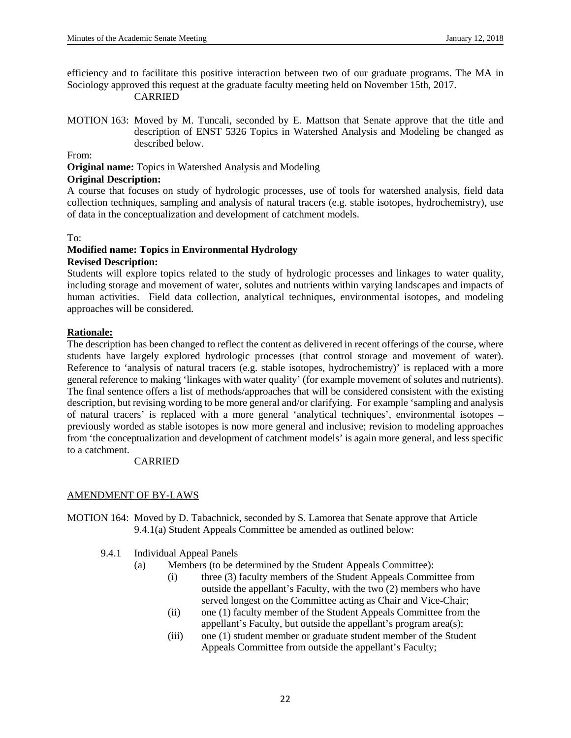efficiency and to facilitate this positive interaction between two of our graduate programs. The MA in Sociology approved this request at the graduate faculty meeting held on November 15th, 2017. CARRIED

MOTION 163: Moved by M. Tuncali, seconded by E. Mattson that Senate approve that the title and description of ENST 5326 Topics in Watershed Analysis and Modeling be changed as described below.

From:

**Original name:** Topics in Watershed Analysis and Modeling

## **Original Description:**

A course that focuses on study of hydrologic processes, use of tools for watershed analysis, field data collection techniques, sampling and analysis of natural tracers (e.g. stable isotopes, hydrochemistry), use of data in the conceptualization and development of catchment models.

#### To:

#### **Modified name: Topics in Environmental Hydrology Revised Description:**

Students will explore topics related to the study of hydrologic processes and linkages to water quality, including storage and movement of water, solutes and nutrients within varying landscapes and impacts of human activities. Field data collection, analytical techniques, environmental isotopes, and modeling approaches will be considered.

## **Rationale:**

The description has been changed to reflect the content as delivered in recent offerings of the course, where students have largely explored hydrologic processes (that control storage and movement of water). Reference to 'analysis of natural tracers (e.g. stable isotopes, hydrochemistry)' is replaced with a more general reference to making 'linkages with water quality' (for example movement of solutes and nutrients). The final sentence offers a list of methods/approaches that will be considered consistent with the existing description, but revising wording to be more general and/or clarifying. For example 'sampling and analysis of natural tracers' is replaced with a more general 'analytical techniques', environmental isotopes – previously worded as stable isotopes is now more general and inclusive; revision to modeling approaches from 'the conceptualization and development of catchment models' is again more general, and less specific to a catchment.

## CARRIED

## AMENDMENT OF BY-LAWS

MOTION 164: Moved by D. Tabachnick, seconded by S. Lamorea that Senate approve that Article 9.4.1(a) Student Appeals Committee be amended as outlined below:

- 9.4.1 Individual Appeal Panels
	- (a) Members (to be determined by the Student Appeals Committee):
		- (i) three (3) faculty members of the Student Appeals Committee from outside the appellant's Faculty, with the two (2) members who have served longest on the Committee acting as Chair and Vice-Chair;
		- (ii) one (1) faculty member of the Student Appeals Committee from the appellant's Faculty, but outside the appellant's program area(s);
		- (iii) one (1) student member or graduate student member of the Student Appeals Committee from outside the appellant's Faculty;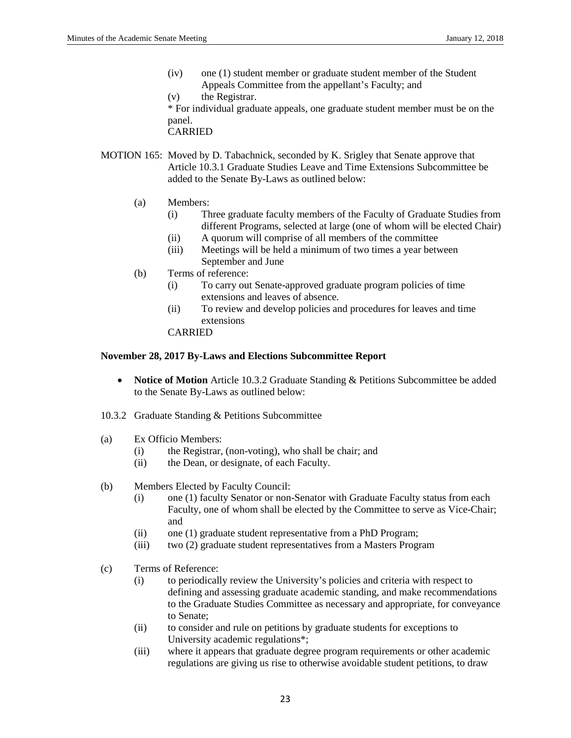(iv) one (1) student member or graduate student member of the Student Appeals Committee from the appellant's Faculty; and

(v) the Registrar. \* For individual graduate appeals, one graduate student member must be on the panel. CARRIED

- MOTION 165: Moved by D. Tabachnick, seconded by K. Srigley that Senate approve that Article 10.3.1 Graduate Studies Leave and Time Extensions Subcommittee be added to the Senate By-Laws as outlined below:
	- (a) Members:
		- (i) Three graduate faculty members of the Faculty of Graduate Studies from different Programs, selected at large (one of whom will be elected Chair)
		- (ii) A quorum will comprise of all members of the committee
		- (iii) Meetings will be held a minimum of two times a year between September and June
	- (b) Terms of reference:
		- (i) To carry out Senate-approved graduate program policies of time extensions and leaves of absence.
		- (ii) To review and develop policies and procedures for leaves and time extensions

CARRIED

## **November 28, 2017 By-Laws and Elections Subcommittee Report**

- **Notice of Motion** Article 10.3.2 Graduate Standing & Petitions Subcommittee be added to the Senate By-Laws as outlined below:
- 10.3.2 Graduate Standing & Petitions Subcommittee
- (a) Ex Officio Members:
	- (i) the Registrar, (non-voting), who shall be chair; and
	- (ii) the Dean, or designate, of each Faculty.
- (b) Members Elected by Faculty Council:
	- (i) one (1) faculty Senator or non-Senator with Graduate Faculty status from each Faculty, one of whom shall be elected by the Committee to serve as Vice-Chair; and
	- (ii) one (1) graduate student representative from a PhD Program;
	- (iii) two (2) graduate student representatives from a Masters Program
- (c) Terms of Reference:
	- (i) to periodically review the University's policies and criteria with respect to defining and assessing graduate academic standing, and make recommendations to the Graduate Studies Committee as necessary and appropriate, for conveyance to Senate;
	- (ii) to consider and rule on petitions by graduate students for exceptions to University academic regulations\*;
	- (iii) where it appears that graduate degree program requirements or other academic regulations are giving us rise to otherwise avoidable student petitions, to draw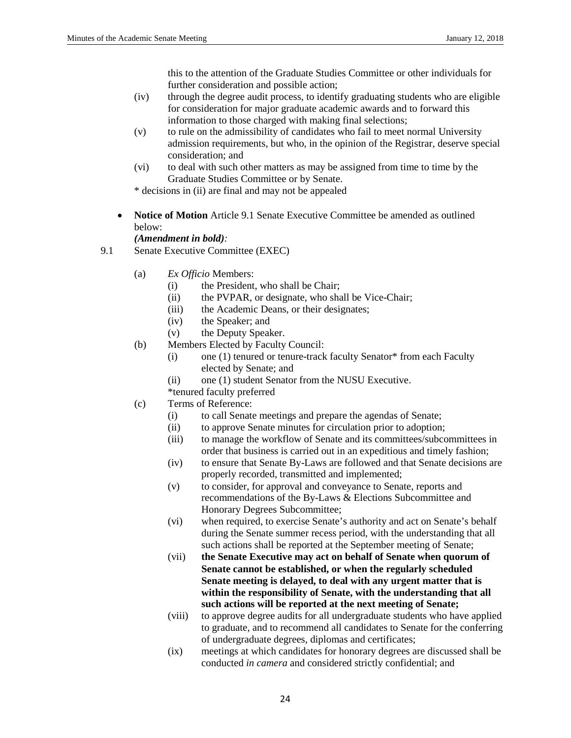this to the attention of the Graduate Studies Committee or other individuals for further consideration and possible action;

- (iv) through the degree audit process, to identify graduating students who are eligible for consideration for major graduate academic awards and to forward this information to those charged with making final selections;
- (v) to rule on the admissibility of candidates who fail to meet normal University admission requirements, but who, in the opinion of the Registrar, deserve special consideration; and
- (vi) to deal with such other matters as may be assigned from time to time by the Graduate Studies Committee or by Senate.
- \* decisions in (ii) are final and may not be appealed
- **Notice of Motion** Article 9.1 Senate Executive Committee be amended as outlined below:

*(Amendment in bold):*

- 9.1 Senate Executive Committee (EXEC)
	- (a) *Ex Officio* Members:
		- (i) the President, who shall be Chair;
		- (ii) the PVPAR, or designate, who shall be Vice-Chair;
		- (iii) the Academic Deans, or their designates;
		- (iv) the Speaker; and
		- (v) the Deputy Speaker.
	- (b) Members Elected by Faculty Council:
		- (i) one (1) tenured or tenure-track faculty Senator\* from each Faculty elected by Senate; and
		- (ii) one (1) student Senator from the NUSU Executive.
		- \*tenured faculty preferred
	- (c) Terms of Reference:
		- (i) to call Senate meetings and prepare the agendas of Senate;
		- (ii) to approve Senate minutes for circulation prior to adoption;
		- (iii) to manage the workflow of Senate and its committees/subcommittees in order that business is carried out in an expeditious and timely fashion;
		- (iv) to ensure that Senate By-Laws are followed and that Senate decisions are properly recorded, transmitted and implemented;
		- (v) to consider, for approval and conveyance to Senate, reports and recommendations of the By-Laws & Elections Subcommittee and Honorary Degrees Subcommittee;
		- (vi) when required, to exercise Senate's authority and act on Senate's behalf during the Senate summer recess period, with the understanding that all such actions shall be reported at the September meeting of Senate;
		- (vii) **the Senate Executive may act on behalf of Senate when quorum of Senate cannot be established, or when the regularly scheduled Senate meeting is delayed, to deal with any urgent matter that is within the responsibility of Senate, with the understanding that all such actions will be reported at the next meeting of Senate;**
		- (viii) to approve degree audits for all undergraduate students who have applied to graduate, and to recommend all candidates to Senate for the conferring of undergraduate degrees, diplomas and certificates;
		- (ix) meetings at which candidates for honorary degrees are discussed shall be conducted *in camera* and considered strictly confidential; and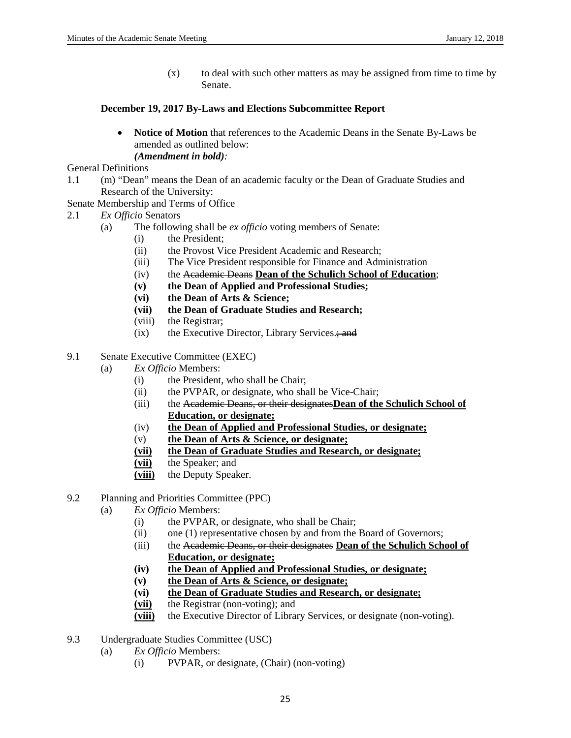(x) to deal with such other matters as may be assigned from time to time by Senate.

## **December 19, 2017 By-Laws and Elections Subcommittee Report**

• **Notice of Motion** that references to the Academic Deans in the Senate By-Laws be amended as outlined below: *(Amendment in bold):*

General Definitions

- 1.1 (m) "Dean" means the Dean of an academic faculty or the Dean of Graduate Studies and Research of the University:
- Senate Membership and Terms of Office
- 2.1 *Ex Officio* Senators
	- (a) The following shall be *ex officio* voting members of Senate:
		- (i) the President;
		- (ii) the Provost Vice President Academic and Research;
		- (iii) The Vice President responsible for Finance and Administration
		- (iv) the Academic Deans **Dean of the Schulich School of Education**;
		- **(v) the Dean of Applied and Professional Studies;**
		- **(vi) the Dean of Arts & Science;**
		- **(vii) the Dean of Graduate Studies and Research;**
		- (viii) the Registrar;
		- $(ix)$  the Executive Director, Library Services.; and
- 9.1 Senate Executive Committee (EXEC)
	- (a) *Ex Officio* Members:
		- (i) the President, who shall be Chair;
		- (ii) the PVPAR, or designate, who shall be Vice-Chair;
		- (iii) the Academic Deans, or their designates**Dean of the Schulich School of Education, or designate;**
		- (iv) **the Dean of Applied and Professional Studies, or designate;**
		- (v) **the Dean of Arts & Science, or designate;**
		- **(vii) the Dean of Graduate Studies and Research, or designate;**
		- **(vii)** the Speaker; and
		- **(viii)** the Deputy Speaker.
- 9.2 Planning and Priorities Committee (PPC)
	- (a) *Ex Officio* Members:
		- (i) the PVPAR, or designate, who shall be Chair;
		- (ii) one (1) representative chosen by and from the Board of Governors;
		- (iii) the Academic Deans, or their designates **Dean of the Schulich School of Education, or designate;**
		- **(iv) the Dean of Applied and Professional Studies, or designate;**
		- **(v) the Dean of Arts & Science, or designate;**
		- **(vi) the Dean of Graduate Studies and Research, or designate;**
		- **(vii)** the Registrar (non-voting); and
		- **(viii)** the Executive Director of Library Services, or designate (non-voting).
- 9.3 Undergraduate Studies Committee (USC)
	- (a) *Ex Officio* Members:
		- (i) PVPAR, or designate, (Chair) (non-voting)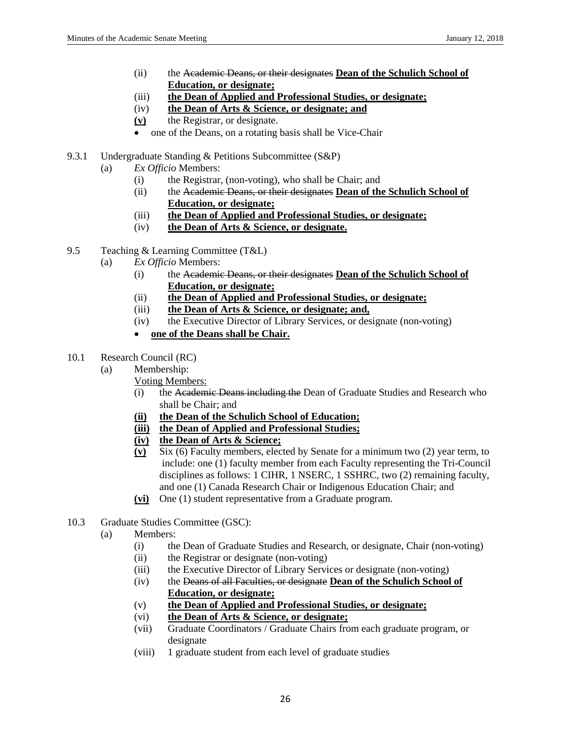- (ii) the Academic Deans, or their designates **Dean of the Schulich School of Education, or designate;**
- (iii) **the Dean of Applied and Professional Studies, or designate;**
- (iv) **the Dean of Arts & Science, or designate; and**
- **(v)** the Registrar, or designate.
- one of the Deans, on a rotating basis shall be Vice-Chair
- 9.3.1 Undergraduate Standing & Petitions Subcommittee (S&P)
	- (a) *Ex Officio* Members:
		- (i) the Registrar, (non-voting), who shall be Chair; and
		- (ii) the Academic Deans, or their designates **Dean of the Schulich School of Education, or designate;**
		- (iii) **the Dean of Applied and Professional Studies, or designate;**
		- (iv) **the Dean of Arts & Science, or designate.**
- 9.5 Teaching & Learning Committee (T&L)
	- (a) *Ex Officio* Members:
		- (i) the Academic Deans, or their designates **Dean of the Schulich School of Education, or designate;**
		- (ii) **the Dean of Applied and Professional Studies, or designate;**
		- (iii) **the Dean of Arts & Science, or designate; and,**
		- (iv) the Executive Director of Library Services, or designate (non-voting)
		- **one of the Deans shall be Chair.**
- 10.1 Research Council (RC)
	- (a) Membership:
		- Voting Members:
			- (i) the Academic Deans including the Dean of Graduate Studies and Research who shall be Chair; and
		- **(ii) the Dean of the Schulich School of Education;**
		- **(iii) the Dean of Applied and Professional Studies;**
		- **(iv) the Dean of Arts & Science;**
		- **(v)** Six (6) Faculty members, elected by Senate for a minimum two (2) year term, to include: one (1) faculty member from each Faculty representing the Tri-Council disciplines as follows: 1 CIHR, 1 NSERC, 1 SSHRC, two (2) remaining faculty, and one (1) Canada Research Chair or Indigenous Education Chair; and
		- **(vi)** One (1) student representative from a Graduate program.
- 10.3 Graduate Studies Committee (GSC):
	- (a) Members:
		- (i) the Dean of Graduate Studies and Research, or designate, Chair (non-voting)
		- (ii) the Registrar or designate (non-voting)
		- (iii) the Executive Director of Library Services or designate (non-voting)
		- (iv) the Deans of all Faculties, or designate **Dean of the Schulich School of Education, or designate;**
		- (v) **the Dean of Applied and Professional Studies, or designate;**
		- (vi) **the Dean of Arts & Science, or designate;**
		- (vii) Graduate Coordinators / Graduate Chairs from each graduate program, or designate
		- (viii) 1 graduate student from each level of graduate studies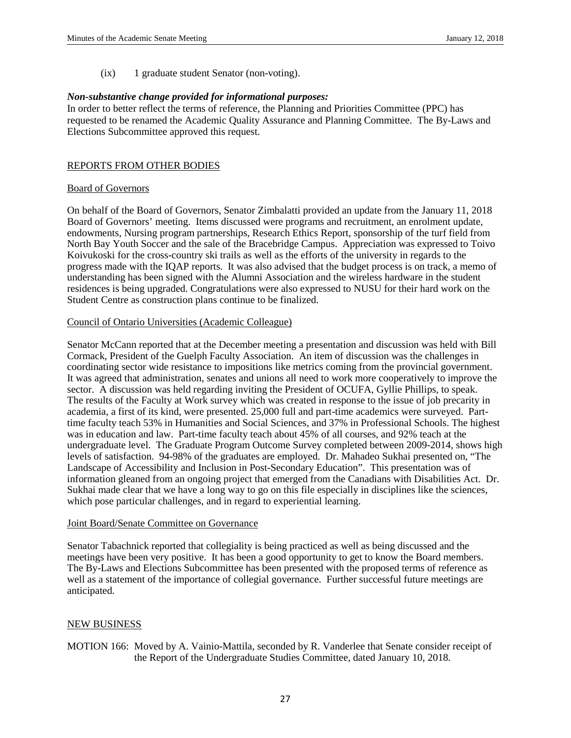(ix) 1 graduate student Senator (non-voting).

## *Non-substantive change provided for informational purposes:*

In order to better reflect the terms of reference, the Planning and Priorities Committee (PPC) has requested to be renamed the Academic Quality Assurance and Planning Committee. The By-Laws and Elections Subcommittee approved this request.

## REPORTS FROM OTHER BODIES

#### Board of Governors

On behalf of the Board of Governors, Senator Zimbalatti provided an update from the January 11, 2018 Board of Governors' meeting. Items discussed were programs and recruitment, an enrolment update, endowments, Nursing program partnerships, Research Ethics Report, sponsorship of the turf field from North Bay Youth Soccer and the sale of the Bracebridge Campus. Appreciation was expressed to Toivo Koivukoski for the cross-country ski trails as well as the efforts of the university in regards to the progress made with the IQAP reports. It was also advised that the budget process is on track, a memo of understanding has been signed with the Alumni Association and the wireless hardware in the student residences is being upgraded. Congratulations were also expressed to NUSU for their hard work on the Student Centre as construction plans continue to be finalized.

## Council of Ontario Universities (Academic Colleague)

Senator McCann reported that at the December meeting a presentation and discussion was held with Bill Cormack, President of the Guelph Faculty Association. An item of discussion was the challenges in coordinating sector wide resistance to impositions like metrics coming from the provincial government. It was agreed that administration, senates and unions all need to work more cooperatively to improve the sector. A discussion was held regarding inviting the President of OCUFA, Gyllie Phillips, to speak. The results of the Faculty at Work survey which was created in response to the issue of job precarity in academia, a first of its kind, were presented. 25,000 full and part-time academics were surveyed. Parttime faculty teach 53% in Humanities and Social Sciences, and 37% in Professional Schools. The highest was in education and law. Part-time faculty teach about 45% of all courses, and 92% teach at the undergraduate level. The Graduate Program Outcome Survey completed between 2009-2014, shows high levels of satisfaction. 94-98% of the graduates are employed. Dr. Mahadeo Sukhai presented on, "The Landscape of Accessibility and Inclusion in Post-Secondary Education". This presentation was of information gleaned from an ongoing project that emerged from the Canadians with Disabilities Act. Dr. Sukhai made clear that we have a long way to go on this file especially in disciplines like the sciences, which pose particular challenges, and in regard to experiential learning.

#### Joint Board/Senate Committee on Governance

Senator Tabachnick reported that collegiality is being practiced as well as being discussed and the meetings have been very positive. It has been a good opportunity to get to know the Board members. The By-Laws and Elections Subcommittee has been presented with the proposed terms of reference as well as a statement of the importance of collegial governance. Further successful future meetings are anticipated.

## NEW BUSINESS

## MOTION 166: Moved by A. Vainio-Mattila, seconded by R. Vanderlee that Senate consider receipt of the Report of the Undergraduate Studies Committee, dated January 10, 2018.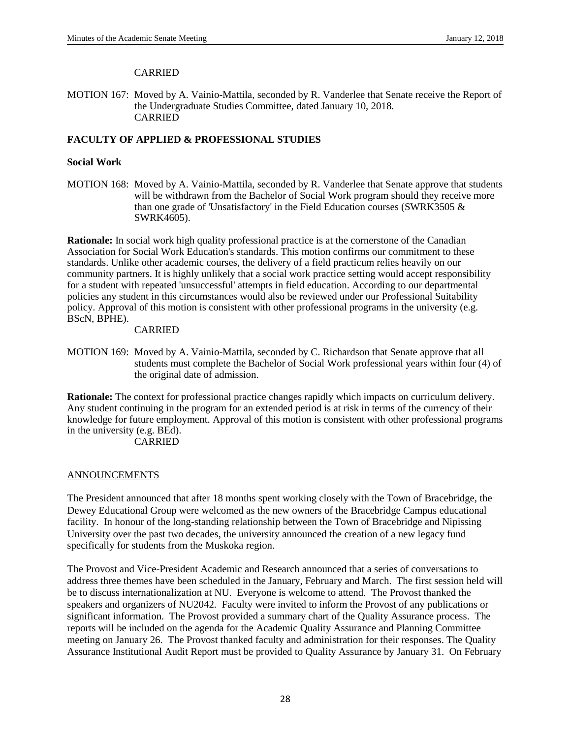## CARRIED

MOTION 167: Moved by A. Vainio-Mattila, seconded by R. Vanderlee that Senate receive the Report of the Undergraduate Studies Committee, dated January 10, 2018. CARRIED

## **FACULTY OF APPLIED & PROFESSIONAL STUDIES**

## **Social Work**

MOTION 168: Moved by A. Vainio-Mattila, seconded by R. Vanderlee that Senate approve that students will be withdrawn from the Bachelor of Social Work program should they receive more than one grade of 'Unsatisfactory' in the Field Education courses (SWRK3505  $\&$ SWRK4605).

**Rationale:** In social work high quality professional practice is at the cornerstone of the Canadian Association for Social Work Education's standards. This motion confirms our commitment to these standards. Unlike other academic courses, the delivery of a field practicum relies heavily on our community partners. It is highly unlikely that a social work practice setting would accept responsibility for a student with repeated 'unsuccessful' attempts in field education. According to our departmental policies any student in this circumstances would also be reviewed under our Professional Suitability policy. Approval of this motion is consistent with other professional programs in the university (e.g. BScN, BPHE).

## CARRIED

MOTION 169: Moved by A. Vainio-Mattila, seconded by C. Richardson that Senate approve that all students must complete the Bachelor of Social Work professional years within four (4) of the original date of admission.

**Rationale:** The context for professional practice changes rapidly which impacts on curriculum delivery. Any student continuing in the program for an extended period is at risk in terms of the currency of their knowledge for future employment. Approval of this motion is consistent with other professional programs in the university (e.g. BEd).

CARRIED

#### ANNOUNCEMENTS

The President announced that after 18 months spent working closely with the Town of Bracebridge, the Dewey Educational Group were welcomed as the new owners of the Bracebridge Campus educational facility. In honour of the long-standing relationship between the Town of Bracebridge and Nipissing University over the past two decades, the university announced the creation of a new legacy fund specifically for students from the Muskoka region.

The Provost and Vice-President Academic and Research announced that a series of conversations to address three themes have been scheduled in the January, February and March. The first session held will be to discuss internationalization at NU. Everyone is welcome to attend. The Provost thanked the speakers and organizers of NU2042. Faculty were invited to inform the Provost of any publications or significant information. The Provost provided a summary chart of the Quality Assurance process. The reports will be included on the agenda for the Academic Quality Assurance and Planning Committee meeting on January 26. The Provost thanked faculty and administration for their responses. The Quality Assurance Institutional Audit Report must be provided to Quality Assurance by January 31. On February